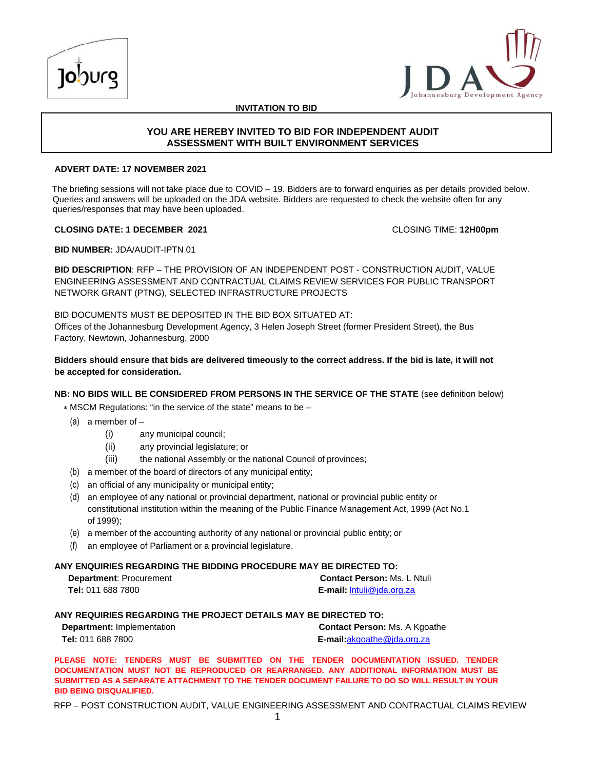



**INVITATION TO BID**

# **YOU ARE HEREBY INVITED TO BID FOR INDEPENDENT AUDIT ASSESSMENT WITH BUILT ENVIRONMENT SERVICES**

### **ADVERT DATE: 17 NOVEMBER 2021**

The briefing sessions will not take place due to COVID – 19. Bidders are to forward enquiries as per details provided below. Queries and answers will be uploaded on the JDA website. Bidders are requested to check the website often for any queries/responses that may have been uploaded.

### **CLOSING DATE: 1 DECEMBER 2021** CLOSING TIME: **12H00pm**

**BID NUMBER:** JDA/AUDIT-IPTN 01

**BID DESCRIPTION**: RFP – THE PROVISION OF AN INDEPENDENT POST - CONSTRUCTION AUDIT, VALUE ENGINEERING ASSESSMENT AND CONTRACTUAL CLAIMS REVIEW SERVICES FOR PUBLIC TRANSPORT NETWORK GRANT (PTNG), SELECTED INFRASTRUCTURE PROJECTS

BID DOCUMENTS MUST BE DEPOSITED IN THE BID BOX SITUATED AT:

Offices of the Johannesburg Development Agency, 3 Helen Joseph Street (former President Street), the Bus Factory, Newtown, Johannesburg, 2000

**Bidders should ensure that bids are delivered timeously to the correct address. If the bid is late, it will not be accepted for consideration.**

### **NB: NO BIDS WILL BE CONSIDERED FROM PERSONS IN THE SERVICE OF THE STATE** (see definition below)

∗ MSCM Regulations: "in the service of the state" means to be –

- (a) a member of  $-$ 
	- (i) any municipal council;
	- (ii) any provincial legislature; or
	- (iii) the national Assembly or the national Council of provinces;
- (b) a member of the board of directors of any municipal entity;
- (c) an official of any municipality or municipal entity;
- (d) an employee of any national or provincial department, national or provincial public entity or constitutional institution within the meaning of the Public Finance Management Act, 1999 (Act No.1 of 1999);
- (e) a member of the accounting authority of any national or provincial public entity; or
- (f) an employee of Parliament or a provincial legislature.

### **ANY ENQUIRIES REGARDING THE BIDDING PROCEDURE MAY BE DIRECTED TO:**

| <b>Department: Procurement</b> | <b>Contact Person: Ms. L Ntuli</b> |
|--------------------------------|------------------------------------|
| <b>Tel:</b> 011 688 7800       | <b>E-mail:</b> Intuli@ida.org.za   |

### **ANY REQUIRIES REGARDING THE PROJECT DETAILS MAY BE DIRECTED TO:**

| <b>Department:</b> Implementation | <b>Contact Person:</b> Ms. A Kgoathe |
|-----------------------------------|--------------------------------------|
| <b>Tel:</b> 011 688 7800          | <b>E-mail:</b> akgoathe@jda.org.za   |

**PLEASE NOTE: TENDERS MUST BE SUBMITTED ON THE TENDER DOCUMENTATION ISSUED. TENDER DOCUMENTATION MUST NOT BE REPRODUCED OR REARRANGED. ANY ADDITIONAL INFORMATION MUST BE SUBMITTED AS A SEPARATE ATTACHMENT TO THE TENDER DOCUMENT FAILURE TO DO SO WILL RESULT IN YOUR BID BEING DISQUALIFIED.**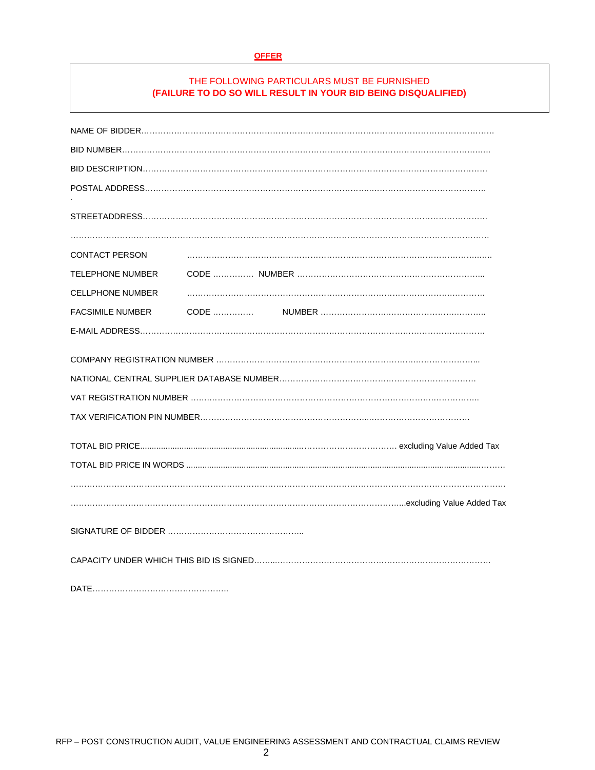#### **OFFER**

# THE FOLLOWING PARTICULARS MUST BE FURNISHED **(FAILURE TO DO SO WILL RESULT IN YOUR BID BEING DISQUALIFIED)**

| <b>CONTACT PERSON</b>   |  |  |  |
|-------------------------|--|--|--|
| TELEPHONE NUMBER        |  |  |  |
| <b>CELLPHONE NUMBER</b> |  |  |  |
| <b>FACSIMILE NUMBER</b> |  |  |  |
|                         |  |  |  |
|                         |  |  |  |
|                         |  |  |  |
|                         |  |  |  |
|                         |  |  |  |
|                         |  |  |  |
|                         |  |  |  |
|                         |  |  |  |
|                         |  |  |  |
|                         |  |  |  |
|                         |  |  |  |
|                         |  |  |  |

DATE…………………………………………..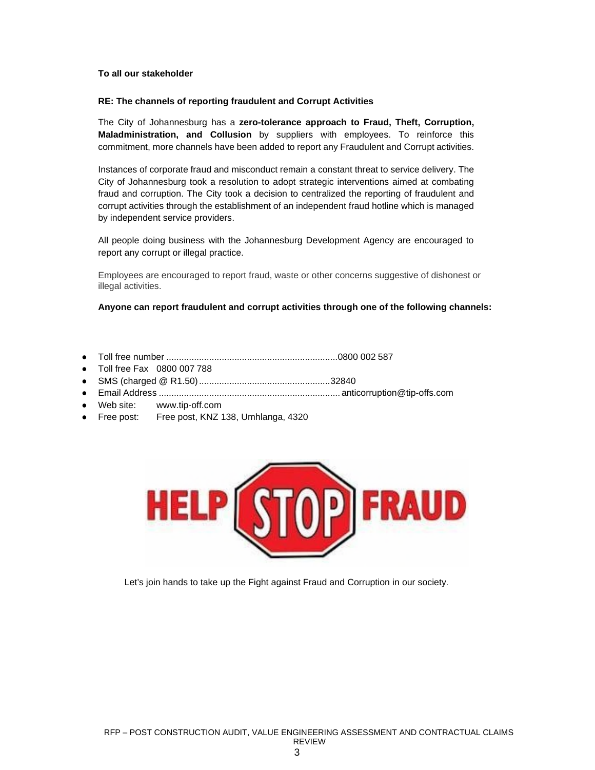### **To all our stakeholder**

### **RE: The channels of reporting fraudulent and Corrupt Activities**

The City of Johannesburg has a **zero-tolerance approach to Fraud, Theft, Corruption, Maladministration, and Collusion** by suppliers with employees. To reinforce this commitment, more channels have been added to report any Fraudulent and Corrupt activities.

Instances of corporate fraud and misconduct remain a constant threat to service delivery. The City of Johannesburg took a resolution to adopt strategic interventions aimed at combating fraud and corruption. The City took a decision to centralized the reporting of fraudulent and corrupt activities through the establishment of an independent fraud hotline which is managed by independent service providers.

All people doing business with the Johannesburg Development Agency are encouraged to report any corrupt or illegal practice.

Employees are encouraged to report fraud, waste or other concerns suggestive of dishonest or illegal activities.

**Anyone can report fraudulent and corrupt activities through one of the following channels:**

- Toll free number ....................................................................0800 002 587
- Toll free Fax 0800 007 788
- SMS (charged @ R1.50)....................................................32840
- Email Address ........................................................................ anticorruption@tip-offs.com
- Web site: www.tip-off.com
- Free post: Free post, KNZ 138, Umhlanga, 4320



Let's join hands to take up the Fight against Fraud and Corruption in our society.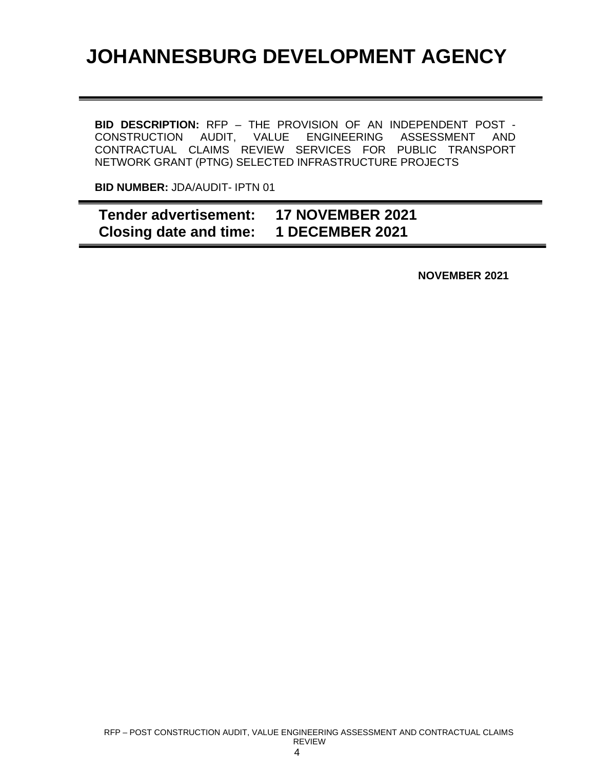# **JOHANNESBURG DEVELOPMENT AGENCY**

**BID DESCRIPTION:** RFP – THE PROVISION OF AN INDEPENDENT POST - CONSTRUCTION AUDIT, VALUE ENGINEERING ASSESSMENT AND CONTRACTUAL CLAIMS REVIEW SERVICES FOR PUBLIC TRANSPORT NETWORK GRANT (PTNG) SELECTED INFRASTRUCTURE PROJECTS

**BID NUMBER:** JDA/AUDIT- IPTN 01

**Tender advertisement: 17 NOVEMBER 2021 Closing date and time: 1 DECEMBER 2021**

**NOVEMBER 2021**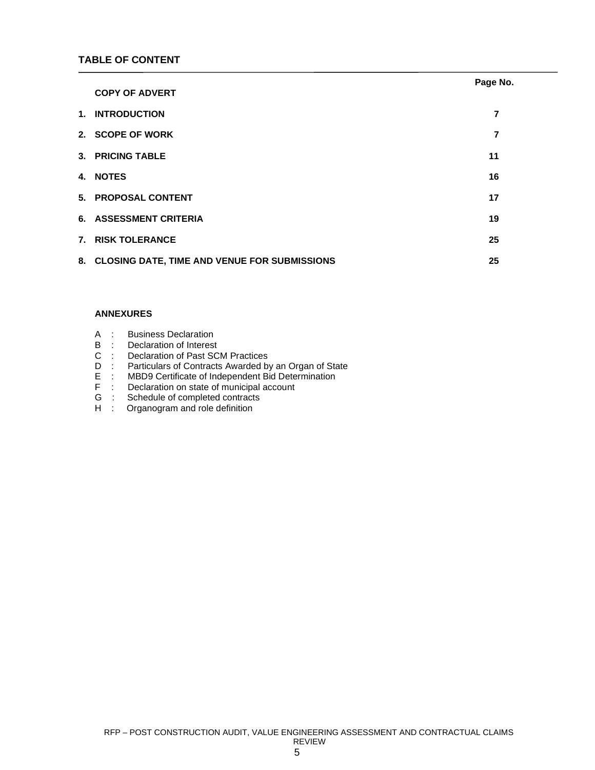|                                                 | Page No. |
|-------------------------------------------------|----------|
| <b>COPY OF ADVERT</b>                           |          |
| 1. INTRODUCTION                                 | 7        |
| 2. SCOPE OF WORK                                | 7        |
| 3. PRICING TABLE                                | 11       |
| <b>4. NOTES</b>                                 | 16       |
| 5. PROPOSAL CONTENT                             | 17       |
| 6. ASSESSMENT CRITERIA                          | 19       |
| 7. RISK TOLERANCE                               | 25       |
| 8. CLOSING DATE, TIME AND VENUE FOR SUBMISSIONS | 25       |

### **ANNEXURES**

| <b>Business Declaration</b><br>A |  |
|----------------------------------|--|
|----------------------------------|--|

- B : Declaration of Interest<br>C : Declaration of Past SC
- C : Declaration of Past SCM Practices<br>D : Particulars of Contracts Awarded by
- D : Particulars of Contracts Awarded by an Organ of State<br>E : MBD9 Certificate of Independent Bid Determination
- E : MBD9 Certificate of Independent Bid Determination<br>F : Declaration on state of municipal account
- F : Declaration on state of municipal account<br>G : Schedule of completed contracts
- G : Schedule of completed contracts<br>H : Organogram and role definition
- Drivence of completion continued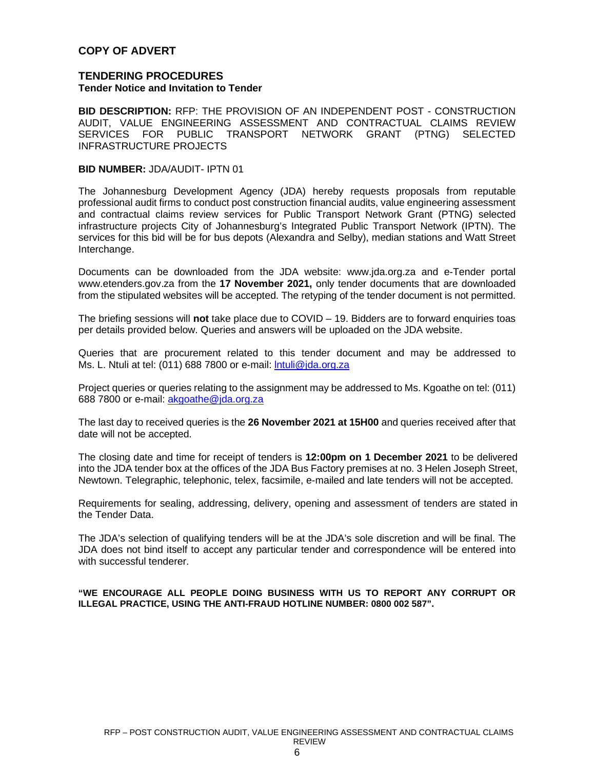# **COPY OF ADVERT**

# **TENDERING PROCEDURES Tender Notice and Invitation to Tender**

**BID DESCRIPTION:** RFP: THE PROVISION OF AN INDEPENDENT POST - CONSTRUCTION AUDIT, VALUE ENGINEERING ASSESSMENT AND CONTRACTUAL CLAIMS REVIEW SERVICES FOR PUBLIC TRANSPORT NETWORK GRANT (PTNG) SELECTED INFRASTRUCTURE PROJECTS

## **BID NUMBER:** JDA/AUDIT- IPTN 01

The Johannesburg Development Agency (JDA) hereby requests proposals from reputable professional audit firms to conduct post construction financial audits, value engineering assessment and contractual claims review services for Public Transport Network Grant (PTNG) selected infrastructure projects City of Johannesburg's Integrated Public Transport Network (IPTN). The services for this bid will be for bus depots (Alexandra and Selby), median stations and Watt Street Interchange.

Documents can be downloaded from the JDA website: www.jda.org.za and e-Tender portal www.etenders.gov.za from the **17 November 2021,** only tender documents that are downloaded from the stipulated websites will be accepted. The retyping of the tender document is not permitted.

The briefing sessions will **not** take place due to COVID – 19. Bidders are to forward enquiries toas per details provided below. Queries and answers will be uploaded on the JDA website.

Queries that are procurement related to this tender document and may be addressed to Ms. L. Ntuli at tel: (011) 688 7800 or e-mail: Intuli@jda.org.za

Project queries or queries relating to the assignment may be addressed to Ms. Kgoathe on tel: (011) 688 7800 or e-mail: akgoathe@jda.org.za

The last day to received queries is the **26 November 2021 at 15H00** and queries received after that date will not be accepted.

The closing date and time for receipt of tenders is **12:00pm on 1 December 2021** to be delivered into the JDA tender box at the offices of the JDA Bus Factory premises at no. 3 Helen Joseph Street, Newtown. Telegraphic, telephonic, telex, facsimile, e-mailed and late tenders will not be accepted.

Requirements for sealing, addressing, delivery, opening and assessment of tenders are stated in the Tender Data.

The JDA's selection of qualifying tenders will be at the JDA's sole discretion and will be final. The JDA does not bind itself to accept any particular tender and correspondence will be entered into with successful tenderer.

### **"WE ENCOURAGE ALL PEOPLE DOING BUSINESS WITH US TO REPORT ANY CORRUPT OR ILLEGAL PRACTICE, USING THE ANTI-FRAUD HOTLINE NUMBER: 0800 002 587".**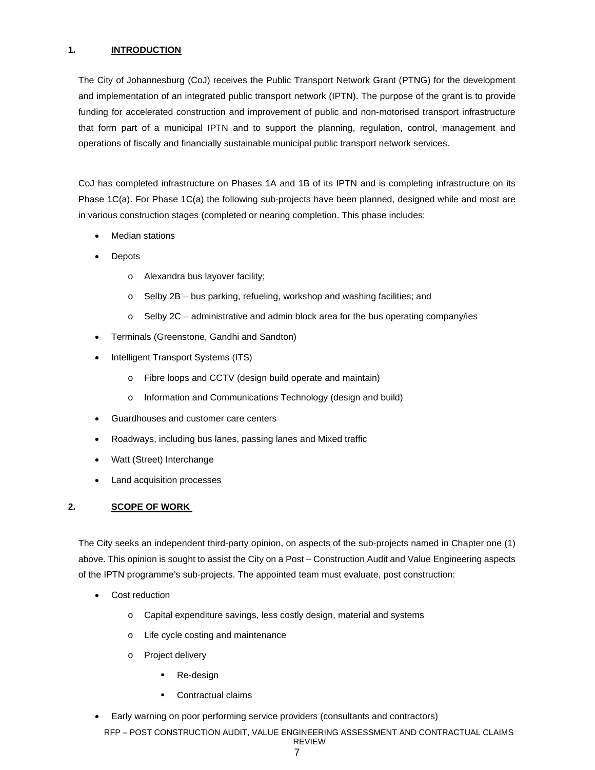# **1. INTRODUCTION**

The City of Johannesburg (CoJ) receives the Public Transport Network Grant (PTNG) for the development and implementation of an integrated public transport network (IPTN). The purpose of the grant is to provide funding for accelerated construction and improvement of public and non-motorised transport infrastructure that form part of a municipal IPTN and to support the planning, regulation, control, management and operations of fiscally and financially sustainable municipal public transport network services.

CoJ has completed infrastructure on Phases 1A and 1B of its IPTN and is completing infrastructure on its Phase 1C(a). For Phase 1C(a) the following sub-projects have been planned, designed while and most are in various construction stages (completed or nearing completion. This phase includes:

- Median stations
- Depots
	- o Alexandra bus layover facility;
	- o Selby 2B bus parking, refueling, workshop and washing facilities; and
	- o Selby 2C administrative and admin block area for the bus operating company/ies
- Terminals (Greenstone, Gandhi and Sandton)
- Intelligent Transport Systems (ITS)
	- o Fibre loops and CCTV (design build operate and maintain)
	- o Information and Communications Technology (design and build)
- Guardhouses and customer care centers
- Roadways, including bus lanes, passing lanes and Mixed traffic
- Watt (Street) Interchange
- Land acquisition processes

## **2. SCOPE OF WORK**

The City seeks an independent third-party opinion, on aspects of the sub-projects named in Chapter one (1) above. This opinion is sought to assist the City on a Post – Construction Audit and Value Engineering aspects of the IPTN programme's sub-projects. The appointed team must evaluate, post construction:

- Cost reduction
	- o Capital expenditure savings, less costly design, material and systems
	- o Life cycle costing and maintenance
	- o Project delivery
		- Re-design
		- Contractual claims
- Early warning on poor performing service providers (consultants and contractors)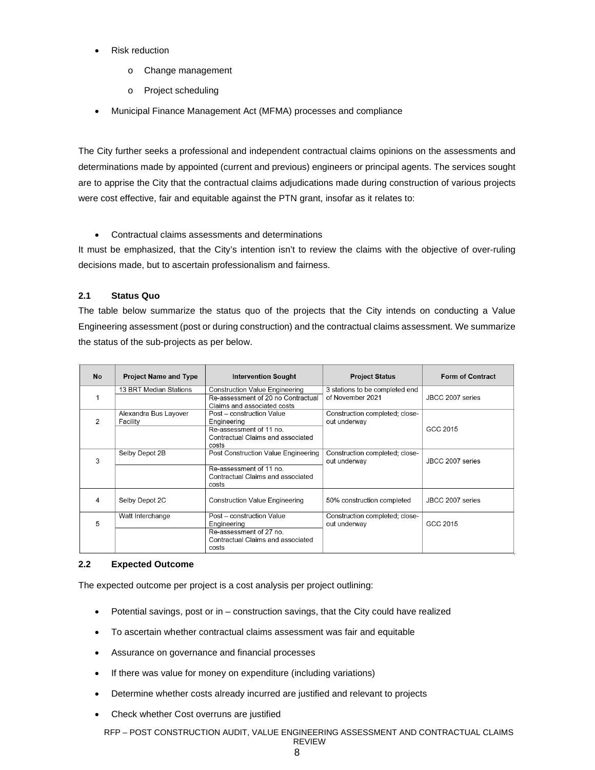- Risk reduction
	- o Change management
	- o Project scheduling
- Municipal Finance Management Act (MFMA) processes and compliance

The City further seeks a professional and independent contractual claims opinions on the assessments and determinations made by appointed (current and previous) engineers or principal agents. The services sought are to apprise the City that the contractual claims adjudications made during construction of various projects were cost effective, fair and equitable against the PTN grant, insofar as it relates to:

Contractual claims assessments and determinations

It must be emphasized, that the City's intention isn't to review the claims with the objective of over-ruling decisions made, but to ascertain professionalism and fairness.

# **2.1 Status Quo**

The table below summarize the status quo of the projects that the City intends on conducting a Value Engineering assessment (post or during construction) and the contractual claims assessment. We summarize the status of the sub-projects as per below.

| <b>No</b>     | <b>Project Name and Type</b>                                                                                                                           | <b>Intervention Sought</b><br><b>Project Status</b>                                                               |                                                    | <b>Form of Contract</b> |  |
|---------------|--------------------------------------------------------------------------------------------------------------------------------------------------------|-------------------------------------------------------------------------------------------------------------------|----------------------------------------------------|-------------------------|--|
|               | 13 BRT Median Stations                                                                                                                                 | <b>Construction Value Engineering</b><br>Re-assessment of 20 no Contractual<br>Claims and associated costs        | 3 stations to be completed end<br>of November 2021 | JBCC 2007 series        |  |
| $\mathcal{P}$ | Alexandra Bus Layover<br>Post - construction Value<br>Facility<br>Engineering<br>Re-assessment of 11 no.<br>Contractual Claims and associated<br>costs |                                                                                                                   | Construction completed; close-<br>out underway     | GCC 2015                |  |
| 3             | Selby Depot 2B                                                                                                                                         | Post Construction Value Engineering<br>Re-assessment of 11 no.<br>Contractual Claims and associated<br>costs      | Construction completed; close-<br>out underway     | JBCC 2007 series        |  |
| 4             | Selby Depot 2C                                                                                                                                         | <b>Construction Value Engineering</b>                                                                             | 50% construction completed                         | JBCC 2007 series        |  |
| 5             | Watt Interchange                                                                                                                                       | Post - construction Value<br>Engineering<br>Re-assessment of 27 no.<br>Contractual Claims and associated<br>costs | Construction completed; close-<br>out underway     | GCC 2015                |  |

# **2.2 Expected Outcome**

The expected outcome per project is a cost analysis per project outlining:

- Potential savings, post or in construction savings, that the City could have realized
- To ascertain whether contractual claims assessment was fair and equitable
- Assurance on governance and financial processes
- If there was value for money on expenditure (including variations)
- Determine whether costs already incurred are justified and relevant to projects
- Check whether Cost overruns are justified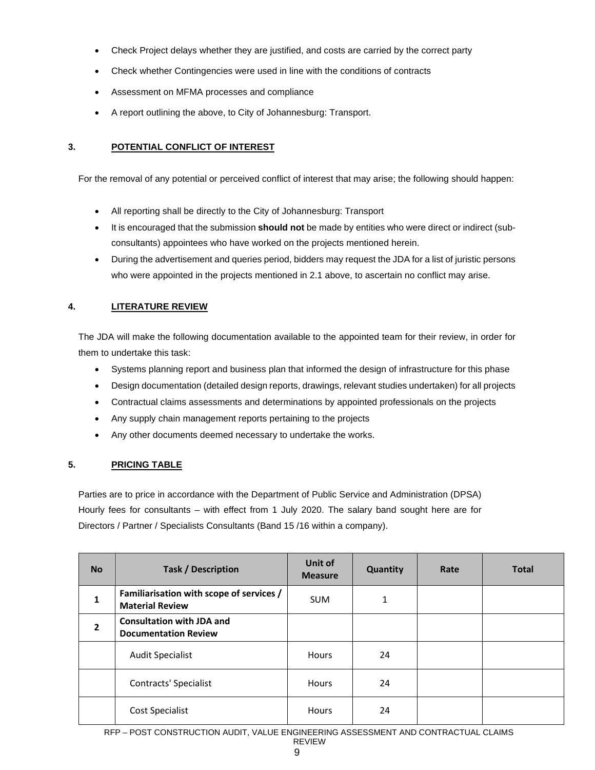- Check Project delays whether they are justified, and costs are carried by the correct party
- Check whether Contingencies were used in line with the conditions of contracts
- Assessment on MFMA processes and compliance
- A report outlining the above, to City of Johannesburg: Transport.

# **3. POTENTIAL CONFLICT OF INTEREST**

For the removal of any potential or perceived conflict of interest that may arise; the following should happen:

- All reporting shall be directly to the City of Johannesburg: Transport
- It is encouraged that the submission **should not** be made by entities who were direct or indirect (subconsultants) appointees who have worked on the projects mentioned herein.
- During the advertisement and queries period, bidders may request the JDA for a list of juristic persons who were appointed in the projects mentioned in 2.1 above, to ascertain no conflict may arise.

# **4. LITERATURE REVIEW**

The JDA will make the following documentation available to the appointed team for their review, in order for them to undertake this task:

- Systems planning report and business plan that informed the design of infrastructure for this phase
- Design documentation (detailed design reports, drawings, relevant studies undertaken) for all projects
- Contractual claims assessments and determinations by appointed professionals on the projects
- Any supply chain management reports pertaining to the projects
- Any other documents deemed necessary to undertake the works.

# **5. PRICING TABLE**

Parties are to price in accordance with the Department of Public Service and Administration (DPSA) Hourly fees for consultants – with effect from 1 July 2020. The salary band sought here are for Directors / Partner / Specialists Consultants (Band 15 /16 within a company).

| <b>No</b>      | <b>Task / Description</b>                                          | Unit of<br><b>Measure</b> | <b>Quantity</b> | Rate | <b>Total</b> |
|----------------|--------------------------------------------------------------------|---------------------------|-----------------|------|--------------|
| 1              | Familiarisation with scope of services /<br><b>Material Review</b> | <b>SUM</b>                | 1               |      |              |
| $\overline{2}$ | <b>Consultation with JDA and</b><br><b>Documentation Review</b>    |                           |                 |      |              |
|                | <b>Audit Specialist</b>                                            | <b>Hours</b>              | 24              |      |              |
|                | Contracts' Specialist                                              | <b>Hours</b>              | 24              |      |              |
|                | Cost Specialist                                                    | Hours                     | 24              |      |              |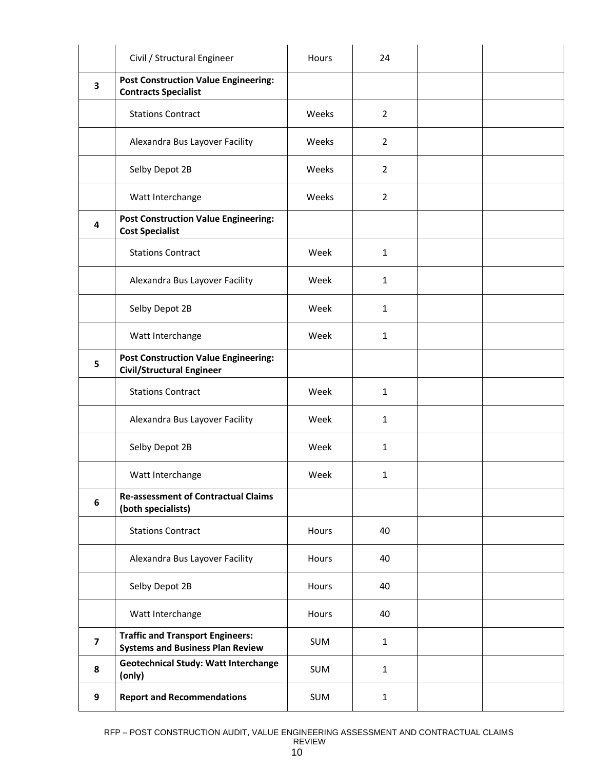|                         | Civil / Structural Engineer                                                        | Hours      | 24             |  |
|-------------------------|------------------------------------------------------------------------------------|------------|----------------|--|
| 3                       | <b>Post Construction Value Engineering:</b><br><b>Contracts Specialist</b>         |            |                |  |
|                         | <b>Stations Contract</b>                                                           | Weeks      | $\overline{2}$ |  |
|                         | Alexandra Bus Layover Facility                                                     | Weeks      | $\overline{2}$ |  |
|                         | Selby Depot 2B                                                                     | Weeks      | $\overline{2}$ |  |
|                         | Watt Interchange                                                                   | Weeks      | $\overline{2}$ |  |
| 4                       | <b>Post Construction Value Engineering:</b><br><b>Cost Specialist</b>              |            |                |  |
|                         | <b>Stations Contract</b>                                                           | Week       | 1              |  |
|                         | Alexandra Bus Layover Facility                                                     | Week       | 1              |  |
|                         | Selby Depot 2B                                                                     | Week       | $\mathbf{1}$   |  |
|                         | Watt Interchange                                                                   | Week       | $\mathbf{1}$   |  |
| 5                       | <b>Post Construction Value Engineering:</b><br><b>Civil/Structural Engineer</b>    |            |                |  |
|                         | <b>Stations Contract</b>                                                           | Week       | $\mathbf{1}$   |  |
|                         | Alexandra Bus Layover Facility                                                     | Week       | $\mathbf{1}$   |  |
|                         | Selby Depot 2B                                                                     | Week       | $\mathbf{1}$   |  |
|                         | Watt Interchange                                                                   | Week       | 1              |  |
| 6                       | <b>Re-assessment of Contractual Claims</b><br>(both specialists)                   |            |                |  |
|                         | <b>Stations Contract</b>                                                           | Hours      | 40             |  |
|                         | Alexandra Bus Layover Facility                                                     | Hours      | 40             |  |
|                         | Selby Depot 2B                                                                     | Hours      | 40             |  |
|                         | Watt Interchange                                                                   | Hours      | 40             |  |
| $\overline{\mathbf{z}}$ | <b>Traffic and Transport Engineers:</b><br><b>Systems and Business Plan Review</b> | <b>SUM</b> | $\mathbf{1}$   |  |
| 8                       | <b>Geotechnical Study: Watt Interchange</b><br>(only)                              | <b>SUM</b> | $\mathbf{1}$   |  |
| 9                       | <b>Report and Recommendations</b>                                                  | <b>SUM</b> | $\mathbf{1}$   |  |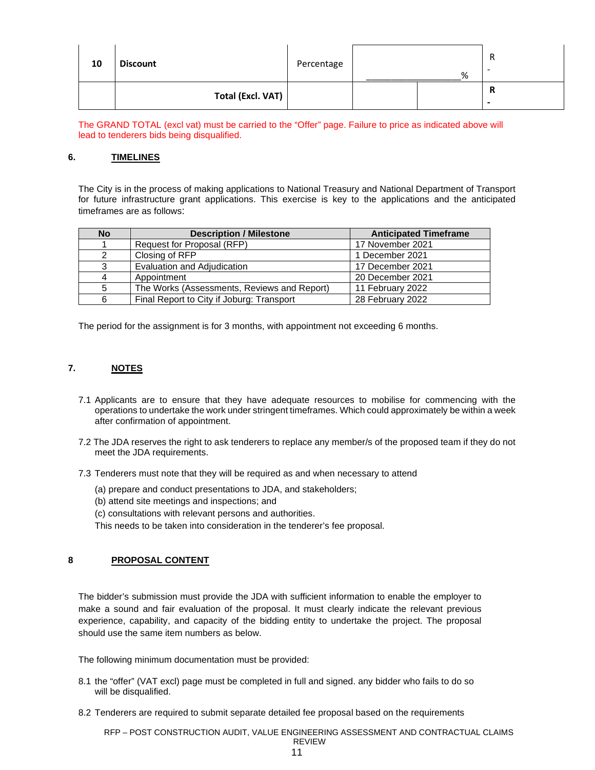| 10 | <b>Discount</b>   | Percentage | % | R<br>-                        |
|----|-------------------|------------|---|-------------------------------|
|    | Total (Excl. VAT) |            |   | R<br>$\overline{\phantom{a}}$ |

The GRAND TOTAL (excl vat) must be carried to the "Offer" page. Failure to price as indicated above will lead to tenderers bids being disqualified.

### **6. TIMELINES**

The City is in the process of making applications to National Treasury and National Department of Transport for future infrastructure grant applications. This exercise is key to the applications and the anticipated timeframes are as follows:

| <b>No</b> | <b>Description / Milestone</b>              | <b>Anticipated Timeframe</b> |
|-----------|---------------------------------------------|------------------------------|
|           | Request for Proposal (RFP)                  | 17 November 2021             |
| 2         | Closing of RFP                              | 1 December 2021              |
| 3         | Evaluation and Adjudication                 | 17 December 2021             |
| 4         | Appointment                                 | 20 December 2021             |
| 5         | The Works (Assessments, Reviews and Report) | 11 February 2022             |
| 6         | Final Report to City if Joburg: Transport   | 28 February 2022             |

The period for the assignment is for 3 months, with appointment not exceeding 6 months.

# **7. NOTES**

- 7.1 Applicants are to ensure that they have adequate resources to mobilise for commencing with the operations to undertake the work under stringent timeframes. Which could approximately be within a week after confirmation of appointment.
- 7.2 The JDA reserves the right to ask tenderers to replace any member/s of the proposed team if they do not meet the JDA requirements.
- 7.3 Tenderers must note that they will be required as and when necessary to attend
	- (a) prepare and conduct presentations to JDA, and stakeholders;
	- (b) attend site meetings and inspections; and
	- (c) consultations with relevant persons and authorities.
	- This needs to be taken into consideration in the tenderer's fee proposal.

# **8 PROPOSAL CONTENT**

The bidder's submission must provide the JDA with sufficient information to enable the employer to make a sound and fair evaluation of the proposal. It must clearly indicate the relevant previous experience, capability, and capacity of the bidding entity to undertake the project. The proposal should use the same item numbers as below.

The following minimum documentation must be provided:

- 8.1 the "offer" (VAT excl) page must be completed in full and signed. any bidder who fails to do so will be disqualified.
- 8.2 Tenderers are required to submit separate detailed fee proposal based on the requirements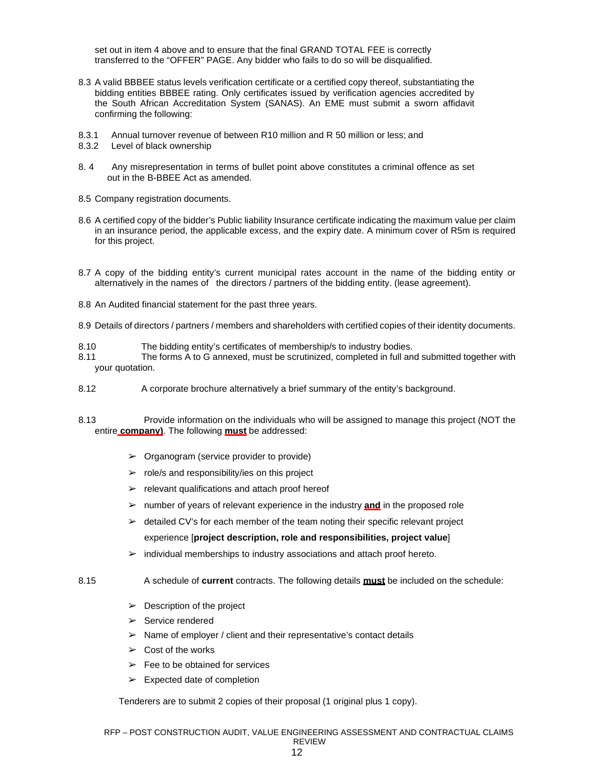set out in item 4 above and to ensure that the final GRAND TOTAL FEE is correctly transferred to the "OFFER" PAGE. Any bidder who fails to do so will be disqualified.

- 8.3 A valid BBBEE status levels verification certificate or a certified copy thereof, substantiating the bidding entities BBBEE rating. Only certificates issued by verification agencies accredited by the South African Accreditation System (SANAS). An EME must submit a sworn affidavit confirming the following:
- 8.3.1 Annual turnover revenue of between R10 million and R 50 million or less; and
- 8.3.2 Level of black ownership
- 8. 4 Any misrepresentation in terms of bullet point above constitutes a criminal offence as set out in the B-BBEE Act as amended.
- 8.5 Company registration documents.
- 8.6 A certified copy of the bidder's Public liability Insurance certificate indicating the maximum value per claim in an insurance period, the applicable excess, and the expiry date. A minimum cover of R5m is required for this project.
- 8.7 A copy of the bidding entity's current municipal rates account in the name of the bidding entity or alternatively in the names of the directors / partners of the bidding entity. (lease agreement).
- 8.8 An Audited financial statement for the past three years.
- 8.9 Details of directors / partners / members and shareholders with certified copies of their identity documents.
- 8.10 The bidding entity's certificates of membership/s to industry bodies.
- 8.11 The forms A to G annexed, must be scrutinized, completed in full and submitted together with your quotation.
- 8.12 A corporate brochure alternatively a brief summary of the entity's background.
- 8.13 Provide information on the individuals who will be assigned to manage this project (NOT the entire **company)**. The following **must** be addressed:
	- $\triangleright$  Organogram (service provider to provide)
	- $\triangleright$  role/s and responsibility/ies on this project
	- $\triangleright$  relevant qualifications and attach proof hereof
	- ➢ number of years of relevant experience in the industry **and** in the proposed role
	- $\triangleright$  detailed CV's for each member of the team noting their specific relevant project experience [**project description, role and responsibilities, project value**]
	- $\triangleright$  individual memberships to industry associations and attach proof hereto.
- 8.15 A schedule of **current** contracts. The following details **must** be included on the schedule:
	- $\triangleright$  Description of the project
	- ➢ Service rendered
	- $\triangleright$  Name of employer / client and their representative's contact details
	- $\geq$  Cost of the works
	- $\geq$  Fee to be obtained for services
	- $\triangleright$  Expected date of completion

Tenderers are to submit 2 copies of their proposal (1 original plus 1 copy).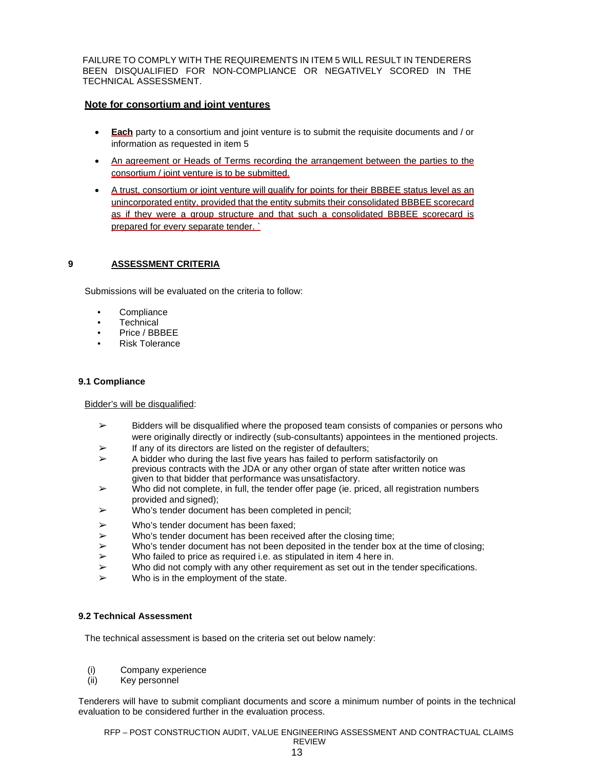FAILURE TO COMPLY WITH THE REQUIREMENTS IN ITEM 5 WILL RESULT IN TENDERERS BEEN DISQUALIFIED FOR NON-COMPLIANCE OR NEGATIVELY SCORED IN THE TECHNICAL ASSESSMENT.

## **Note for consortium and joint ventures**

- **Each** party to a consortium and joint venture is to submit the requisite documents and / or information as requested in item 5
- An agreement or Heads of Terms recording the arrangement between the parties to the consortium / joint venture is to be submitted.
- A trust, consortium or joint venture will qualify for points for their BBBEE status level as an unincorporated entity, provided that the entity submits their consolidated BBBEE scorecard as if they were a group structure and that such a consolidated BBBEE scorecard is prepared for every separate tender. `

## **9 ASSESSMENT CRITERIA**

Submissions will be evaluated on the criteria to follow:

- **Compliance**
- Technical
- Price / BBBEE
- Risk Tolerance

### **9.1 Compliance**

Bidder's will be disqualified:

- $\geq$  Bidders will be disqualified where the proposed team consists of companies or persons who were originally directly or indirectly (sub-consultants) appointees in the mentioned projects.
- $\triangleright$  If any of its directors are listed on the register of defaulters;
- $\triangleright$  A bidder who during the last five years has failed to perform satisfactorily on previous contracts with the JDA or any other organ of state after written notice was given to that bidder that performance was unsatisfactory.
- $\triangleright$  Who did not complete, in full, the tender offer page (ie. priced, all registration numbers provided and signed);
- $\triangleright$  Who's tender document has been completed in pencil;
- $\triangleright$  Who's tender document has been faxed;
- $\triangleright$  Who's tender document has been received after the closing time;
- $\triangleright$  Who's tender document has not been deposited in the tender box at the time of closing;
- $\triangleright$  Who failed to price as required i.e. as stipulated in item 4 here in.
- $\triangleright$  Who did not comply with any other requirement as set out in the tender specifications.
- $\triangleright$  Who is in the employment of the state.

### **9.2 Technical Assessment**

The technical assessment is based on the criteria set out below namely:

- (i) Company experience
- (ii) Key personnel

Tenderers will have to submit compliant documents and score a minimum number of points in the technical evaluation to be considered further in the evaluation process.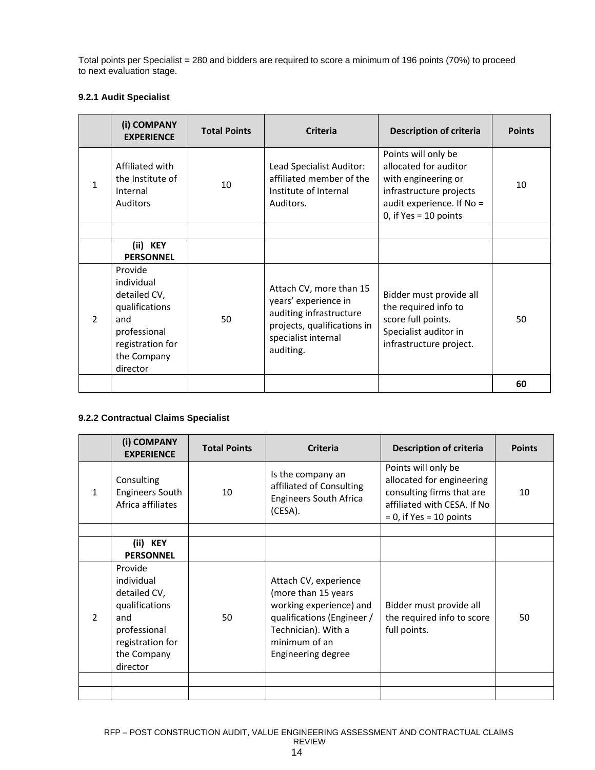Total points per Specialist = 280 and bidders are required to score a minimum of 196 points (70%) to proceed to next evaluation stage.

# **9.2.1 Audit Specialist**

|               | (i) COMPANY<br><b>EXPERIENCE</b>                                                                                              | <b>Total Points</b> | <b>Criteria</b>                                                                                                                               | <b>Description of criteria</b>                                                                                                                         | <b>Points</b> |
|---------------|-------------------------------------------------------------------------------------------------------------------------------|---------------------|-----------------------------------------------------------------------------------------------------------------------------------------------|--------------------------------------------------------------------------------------------------------------------------------------------------------|---------------|
| $\mathbf{1}$  | Affiliated with<br>the Institute of<br>Internal<br><b>Auditors</b>                                                            | 10                  | Lead Specialist Auditor:<br>affiliated member of the<br>Institute of Internal<br>Auditors.                                                    | Points will only be<br>allocated for auditor<br>with engineering or<br>infrastructure projects<br>audit experience. If No =<br>0, if $Yes = 10$ points | 10            |
|               |                                                                                                                               |                     |                                                                                                                                               |                                                                                                                                                        |               |
|               | (ii) KEY<br><b>PERSONNEL</b>                                                                                                  |                     |                                                                                                                                               |                                                                                                                                                        |               |
| $\mathcal{P}$ | Provide<br>individual<br>detailed CV,<br>qualifications<br>and<br>professional<br>registration for<br>the Company<br>director | 50                  | Attach CV, more than 15<br>years' experience in<br>auditing infrastructure<br>projects, qualifications in<br>specialist internal<br>auditing. | Bidder must provide all<br>the required info to<br>score full points.<br>Specialist auditor in<br>infrastructure project.                              | 50            |
|               |                                                                                                                               |                     |                                                                                                                                               |                                                                                                                                                        | 60            |

# **9.2.2 Contractual Claims Specialist**

|               | (i) COMPANY<br><b>EXPERIENCE</b>                                                                                              | <b>Total Points</b> | <b>Criteria</b>                                                                                                                                                     | <b>Description of criteria</b>                                                                                                             | <b>Points</b> |
|---------------|-------------------------------------------------------------------------------------------------------------------------------|---------------------|---------------------------------------------------------------------------------------------------------------------------------------------------------------------|--------------------------------------------------------------------------------------------------------------------------------------------|---------------|
| 1             | Consulting<br><b>Engineers South</b><br>Africa affiliates                                                                     | 10                  | Is the company an<br>affiliated of Consulting<br><b>Engineers South Africa</b><br>(CESA).                                                                           | Points will only be<br>allocated for engineering<br>consulting firms that are<br>affiliated with CESA. If No<br>$= 0$ , if Yes = 10 points | 10            |
|               |                                                                                                                               |                     |                                                                                                                                                                     |                                                                                                                                            |               |
|               | (ii) KEY<br><b>PERSONNEL</b>                                                                                                  |                     |                                                                                                                                                                     |                                                                                                                                            |               |
| $\mathcal{P}$ | Provide<br>individual<br>detailed CV,<br>qualifications<br>and<br>professional<br>registration for<br>the Company<br>director | 50                  | Attach CV, experience<br>(more than 15 years<br>working experience) and<br>qualifications (Engineer /<br>Technician). With a<br>minimum of an<br>Engineering degree | Bidder must provide all<br>the required info to score<br>full points.                                                                      | 50            |
|               |                                                                                                                               |                     |                                                                                                                                                                     |                                                                                                                                            |               |
|               |                                                                                                                               |                     |                                                                                                                                                                     |                                                                                                                                            |               |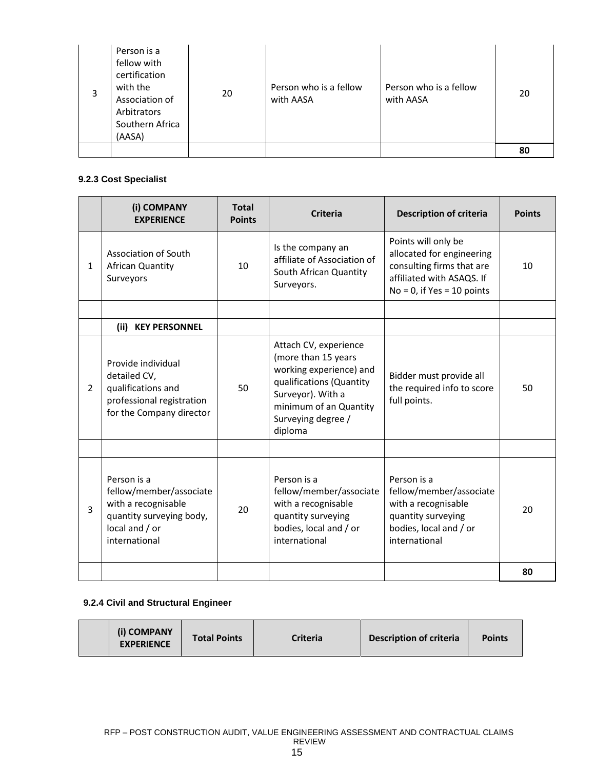| 3 | Person is a<br>fellow with<br>certification<br>with the<br>Association of<br>Arbitrators<br>Southern Africa<br>(AASA) | 20 | Person who is a fellow<br>with AASA | Person who is a fellow<br>with AASA | 20 |
|---|-----------------------------------------------------------------------------------------------------------------------|----|-------------------------------------|-------------------------------------|----|
|   |                                                                                                                       |    |                                     |                                     | 80 |

# **9.2.3 Cost Specialist**

|   | (i) COMPANY<br><b>EXPERIENCE</b>                                                                                             | <b>Total</b><br><b>Points</b> | <b>Criteria</b>                                                                                                                                                                     | <b>Description of criteria</b>                                                                                                              | <b>Points</b> |
|---|------------------------------------------------------------------------------------------------------------------------------|-------------------------------|-------------------------------------------------------------------------------------------------------------------------------------------------------------------------------------|---------------------------------------------------------------------------------------------------------------------------------------------|---------------|
| 1 | Association of South<br>African Quantity<br>Surveyors                                                                        | 10                            | Is the company an<br>affiliate of Association of<br>South African Quantity<br>Surveyors.                                                                                            | Points will only be<br>allocated for engineering<br>consulting firms that are<br>affiliated with ASAQS. If<br>$No = 0$ , if Yes = 10 points | 10            |
|   |                                                                                                                              |                               |                                                                                                                                                                                     |                                                                                                                                             |               |
|   | (ii) KEY PERSONNEL                                                                                                           |                               |                                                                                                                                                                                     |                                                                                                                                             |               |
| 2 | Provide individual<br>detailed CV,<br>qualifications and<br>professional registration<br>for the Company director            | 50                            | Attach CV, experience<br>(more than 15 years<br>working experience) and<br>qualifications (Quantity<br>Surveyor). With a<br>minimum of an Quantity<br>Surveying degree /<br>diploma | Bidder must provide all<br>the required info to score<br>full points.                                                                       | 50            |
|   |                                                                                                                              |                               |                                                                                                                                                                                     |                                                                                                                                             |               |
| 3 | Person is a<br>fellow/member/associate<br>with a recognisable<br>quantity surveying body,<br>local and / or<br>international | 20                            | Person is a<br>fellow/member/associate<br>with a recognisable<br>quantity surveying<br>bodies, local and / or<br>international                                                      | Person is a<br>fellow/member/associate<br>with a recognisable<br>quantity surveying<br>bodies, local and / or<br>international              | 20            |
|   |                                                                                                                              |                               |                                                                                                                                                                                     |                                                                                                                                             | 80            |

# **9.2.4 Civil and Structural Engineer**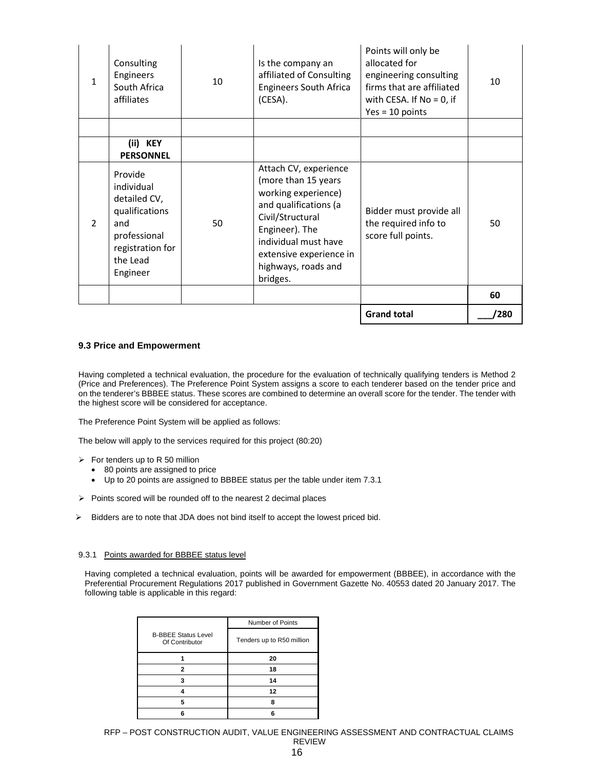| $\mathcal{P}$ | detailed CV,<br>qualifications<br>and<br>professional<br>registration for<br>the Lead<br>Engineer | 50 | working experience)<br>and qualifications (a<br>Civil/Structural<br>Engineer). The<br>individual must have<br>extensive experience in<br>highways, roads and<br>bridges. | Bidder must provide all<br>the required info to<br>score full points.                                                                           | 50 |
|---------------|---------------------------------------------------------------------------------------------------|----|--------------------------------------------------------------------------------------------------------------------------------------------------------------------------|-------------------------------------------------------------------------------------------------------------------------------------------------|----|
|               | <b>PERSONNEL</b><br>Provide<br>individual                                                         |    | Attach CV, experience<br>(more than 15 years                                                                                                                             |                                                                                                                                                 |    |
|               | (ii) KEY                                                                                          |    |                                                                                                                                                                          |                                                                                                                                                 |    |
| 1             | Consulting<br>Engineers<br>South Africa<br>affiliates                                             | 10 | Is the company an<br>affiliated of Consulting<br><b>Engineers South Africa</b><br>(CESA).                                                                                | Points will only be<br>allocated for<br>engineering consulting<br>firms that are affiliated<br>with CESA. If $No = 0$ , if<br>$Yes = 10 points$ | 10 |

### **9.3 Price and Empowerment**

Having completed a technical evaluation, the procedure for the evaluation of technically qualifying tenders is Method 2 (Price and Preferences). The Preference Point System assigns a score to each tenderer based on the tender price and on the tenderer's BBBEE status. These scores are combined to determine an overall score for the tender. The tender with the highest score will be considered for acceptance.

The Preference Point System will be applied as follows:

The below will apply to the services required for this project (80:20)

- $\triangleright$  For tenders up to R 50 million
	- 80 points are assigned to price
	- Up to 20 points are assigned to BBBEE status per the table under item 7.3.1
- $\triangleright$  Points scored will be rounded off to the nearest 2 decimal places
- $\triangleright$  Bidders are to note that JDA does not bind itself to accept the lowest priced bid.

#### 9.3.1 Points awarded for BBBEE status level

Having completed a technical evaluation, points will be awarded for empowerment (BBBEE), in accordance with the Preferential Procurement Regulations 2017 published in Government Gazette No. 40553 dated 20 January 2017. The following table is applicable in this regard:

|                                              | Number of Points          |
|----------------------------------------------|---------------------------|
| <b>B-BBEE Status Level</b><br>Of Contributor | Tenders up to R50 million |
|                                              | 20                        |
| 2                                            | 18                        |
|                                              | 14                        |
|                                              | 12                        |
| 5                                            | 8                         |
|                                              |                           |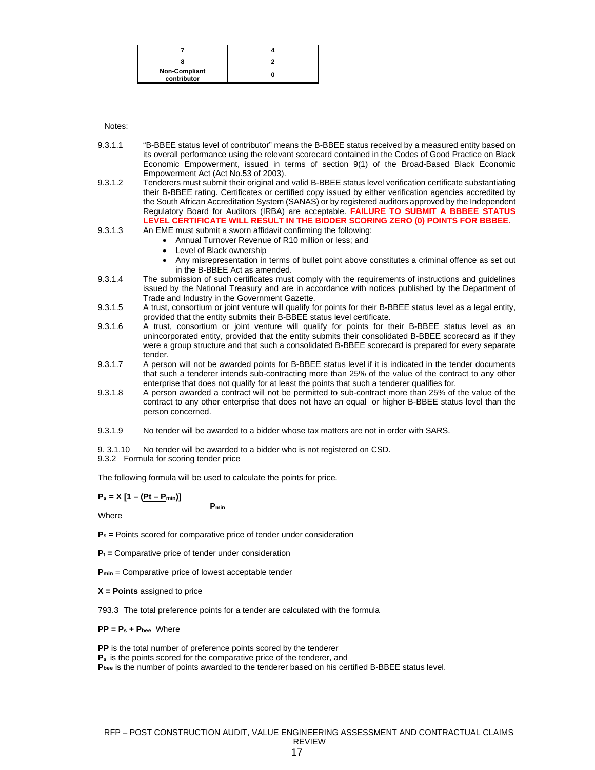| <b>Non-Compliant</b><br>contributor |  |
|-------------------------------------|--|

Notes:

- 9.3.1.1 "B-BBEE status level of contributor" means the B-BBEE status received by a measured entity based on its overall performance using the relevant scorecard contained in the Codes of Good Practice on Black Economic Empowerment, issued in terms of section 9(1) of the Broad-Based Black Economic Empowerment Act (Act No.53 of 2003).
- 9.3.1.2 Tenderers must submit their original and valid B-BBEE status level verification certificate substantiating their B-BBEE rating. Certificates or certified copy issued by either verification agencies accredited by the South African Accreditation System (SANAS) or by registered auditors approved by the Independent Regulatory Board for Auditors (IRBA) are acceptable. **FAILURE TO SUBMIT A BBBEE STATUS LEVEL CERTIFICATE WILL RESULT IN THE BIDDER SCORING ZERO (0) POINTS FOR BBBEE.**
- 9.3.1.3 An EME must submit a sworn affidavit confirming the following:
	- Annual Turnover Revenue of R10 million or less; and
	- Level of Black ownership
	- Any misrepresentation in terms of bullet point above constitutes a criminal offence as set out in the B-BBEE Act as amended.
- 9.3.1.4 The submission of such certificates must comply with the requirements of instructions and guidelines issued by the National Treasury and are in accordance with notices published by the Department of Trade and Industry in the Government Gazette.
- 9.3.1.5 A trust, consortium or joint venture will qualify for points for their B-BBEE status level as a legal entity, provided that the entity submits their B-BBEE status level certificate.
- 9.3.1.6 A trust, consortium or joint venture will qualify for points for their B-BBEE status level as an unincorporated entity, provided that the entity submits their consolidated B-BBEE scorecard as if they were a group structure and that such a consolidated B-BBEE scorecard is prepared for every separate tender.
- 9.3.1.7 A person will not be awarded points for B-BBEE status level if it is indicated in the tender documents that such a tenderer intends sub-contracting more than 25% of the value of the contract to any other enterprise that does not qualify for at least the points that such a tenderer qualifies for.
- 9.3.1.8 A person awarded a contract will not be permitted to sub-contract more than 25% of the value of the contract to any other enterprise that does not have an equal or higher B-BBEE status level than the person concerned.
- 9.3.1.9 No tender will be awarded to a bidder whose tax matters are not in order with SARS.

9. 3.1.10 No tender will be awarded to a bidder who is not registered on CSD.

9.3.2 Formula for scoring tender price

The following formula will be used to calculate the points for price.

**Pmin**

$$
P_s = X [1 - (Pt - P_{min})]
$$

Where

**P<sup>s</sup> =** Points scored for comparative price of tender under consideration

- **P<sup>t</sup> =** Comparative price of tender under consideration
- **Pmin** = Comparative price of lowest acceptable tender
- **X = Points** assigned to price

793.3 The total preference points for a tender are calculated with the formula

#### **PP = P<sup>s</sup> + Pbee** Where

**PP** is the total number of preference points scored by the tenderer **P<sup>s</sup>** is the points scored for the comparative price of the tenderer, and **Pbee** is the number of points awarded to the tenderer based on his certified B-BBEE status level.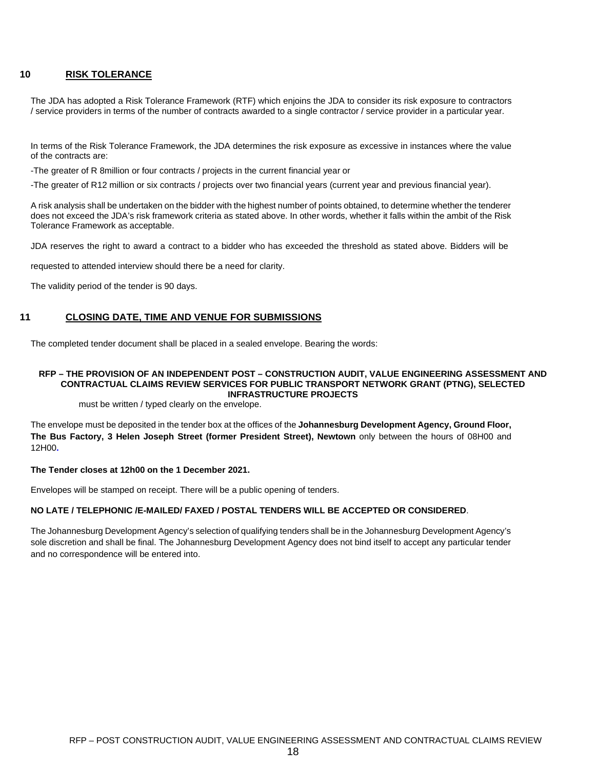### **10 RISK TOLERANCE**

The JDA has adopted a Risk Tolerance Framework (RTF) which enjoins the JDA to consider its risk exposure to contractors / service providers in terms of the number of contracts awarded to a single contractor / service provider in a particular year.

In terms of the Risk Tolerance Framework, the JDA determines the risk exposure as excessive in instances where the value of the contracts are:

-The greater of R 8million or four contracts / projects in the current financial year or

-The greater of R12 million or six contracts / projects over two financial years (current year and previous financial year).

A risk analysis shall be undertaken on the bidder with the highest number of points obtained, to determine whether the tenderer does not exceed the JDA's risk framework criteria as stated above. In other words, whether it falls within the ambit of the Risk Tolerance Framework as acceptable.

JDA reserves the right to award a contract to a bidder who has exceeded the threshold as stated above. Bidders will be

requested to attended interview should there be a need for clarity.

The validity period of the tender is 90 days.

## **11 CLOSING DATE, TIME AND VENUE FOR SUBMISSIONS**

The completed tender document shall be placed in a sealed envelope. Bearing the words:

#### **RFP – THE PROVISION OF AN INDEPENDENT POST – CONSTRUCTION AUDIT, VALUE ENGINEERING ASSESSMENT AND CONTRACTUAL CLAIMS REVIEW SERVICES FOR PUBLIC TRANSPORT NETWORK GRANT (PTNG), SELECTED INFRASTRUCTURE PROJECTS**

must be written / typed clearly on the envelope.

The envelope must be deposited in the tender box at the offices of the **Johannesburg Development Agency, Ground Floor, The Bus Factory, 3 Helen Joseph Street (former President Street), Newtown** only between the hours of 08H00 and 12H00**.**

### **The Tender closes at 12h00 on the 1 December 2021.**

Envelopes will be stamped on receipt. There will be a public opening of tenders.

### **NO LATE / TELEPHONIC /E-MAILED/ FAXED / POSTAL TENDERS WILL BE ACCEPTED OR CONSIDERED**.

The Johannesburg Development Agency's selection of qualifying tenders shall be in the Johannesburg Development Agency's sole discretion and shall be final. The Johannesburg Development Agency does not bind itself to accept any particular tender and no correspondence will be entered into.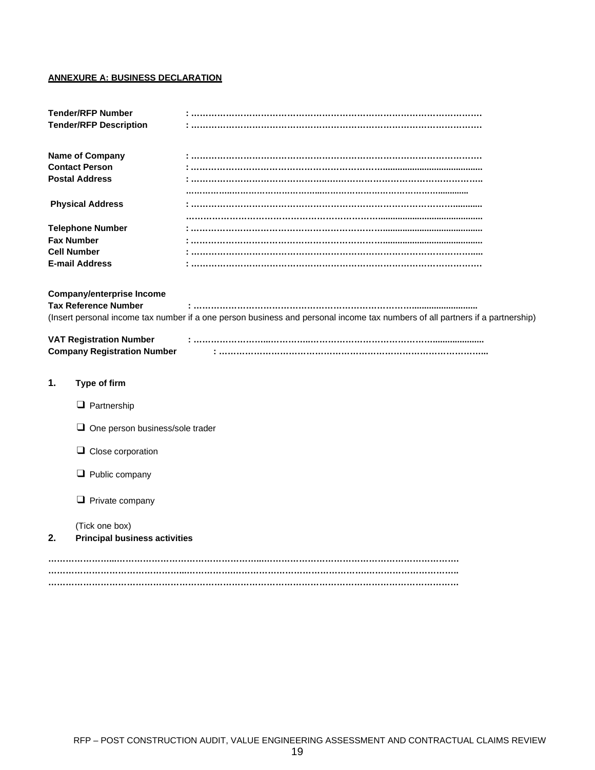# **ANNEXURE A: BUSINESS DECLARATION**

|                               | <b>Tender/RFP Number</b>               |                                                                                                                               |  |  |
|-------------------------------|----------------------------------------|-------------------------------------------------------------------------------------------------------------------------------|--|--|
| <b>Tender/RFP Description</b> |                                        |                                                                                                                               |  |  |
|                               | <b>Name of Company</b>                 |                                                                                                                               |  |  |
|                               | <b>Contact Person</b>                  |                                                                                                                               |  |  |
| <b>Postal Address</b>         |                                        |                                                                                                                               |  |  |
|                               |                                        |                                                                                                                               |  |  |
|                               | <b>Physical Address</b>                |                                                                                                                               |  |  |
|                               |                                        |                                                                                                                               |  |  |
|                               | <b>Telephone Number</b>                |                                                                                                                               |  |  |
|                               | <b>Fax Number</b>                      |                                                                                                                               |  |  |
|                               | <b>Cell Number</b>                     |                                                                                                                               |  |  |
|                               | <b>E-mail Address</b>                  |                                                                                                                               |  |  |
|                               |                                        |                                                                                                                               |  |  |
|                               | <b>Company/enterprise Income</b>       |                                                                                                                               |  |  |
|                               | <b>Tax Reference Number</b>            |                                                                                                                               |  |  |
|                               |                                        | (Insert personal income tax number if a one person business and personal income tax numbers of all partners if a partnership) |  |  |
|                               | <b>VAT Registration Number</b>         |                                                                                                                               |  |  |
|                               | <b>Company Registration Number</b>     |                                                                                                                               |  |  |
|                               |                                        |                                                                                                                               |  |  |
| 1.                            | Type of firm                           |                                                                                                                               |  |  |
|                               |                                        |                                                                                                                               |  |  |
|                               | $\Box$ Partnership                     |                                                                                                                               |  |  |
|                               |                                        |                                                                                                                               |  |  |
|                               | $\Box$ One person business/sole trader |                                                                                                                               |  |  |
|                               |                                        |                                                                                                                               |  |  |
|                               | $\Box$ Close corporation               |                                                                                                                               |  |  |
|                               | $\Box$ Public company                  |                                                                                                                               |  |  |
|                               | $\Box$ Private company                 |                                                                                                                               |  |  |
|                               | (Tick one box)                         |                                                                                                                               |  |  |
| 2.                            | <b>Principal business activities</b>   |                                                                                                                               |  |  |
|                               |                                        |                                                                                                                               |  |  |
|                               |                                        |                                                                                                                               |  |  |
|                               |                                        |                                                                                                                               |  |  |
|                               |                                        |                                                                                                                               |  |  |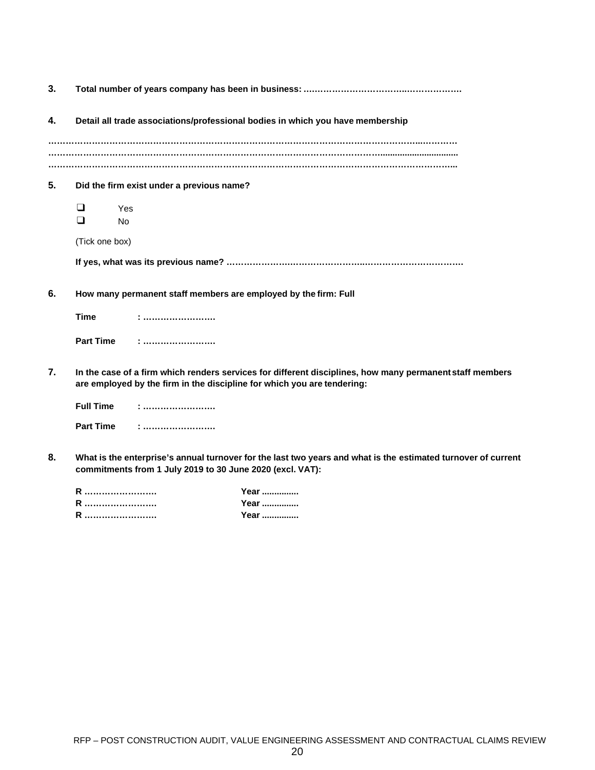| 3.               |                                      |                                                                                                                                                                                     |
|------------------|--------------------------------------|-------------------------------------------------------------------------------------------------------------------------------------------------------------------------------------|
| 4.               |                                      | Detail all trade associations/professional bodies in which you have membership                                                                                                      |
|                  |                                      |                                                                                                                                                                                     |
|                  |                                      |                                                                                                                                                                                     |
| 5.               |                                      | Did the firm exist under a previous name?                                                                                                                                           |
|                  | $\Box$<br>Yes<br>$\Box$<br><b>No</b> |                                                                                                                                                                                     |
|                  | (Tick one box)                       |                                                                                                                                                                                     |
|                  |                                      |                                                                                                                                                                                     |
| 6.               |                                      | How many permanent staff members are employed by the firm: Full                                                                                                                     |
|                  | <b>Time</b>                          | $:$                                                                                                                                                                                 |
|                  | <b>Part Time</b>                     |                                                                                                                                                                                     |
| $\overline{7}$ . |                                      | In the case of a firm which renders services for different disciplines, how many permanent staff members<br>are employed by the firm in the discipline for which you are tendering: |
|                  | <b>Full Time</b>                     | :                                                                                                                                                                                   |
|                  | <b>Part Time</b>                     | <u>: </u>                                                                                                                                                                           |
| Я                |                                      | What is the enterprise's annual turnover for the last two years and what is the estimated turnover of curre                                                                         |

**8. What is the enterprise's annual turnover for the last two years and what is the estimated turnover of current commitments from 1 July 2019 to 30 June 2020 (excl. VAT):**

| Year |
|------|
| Year |
| Year |
|      |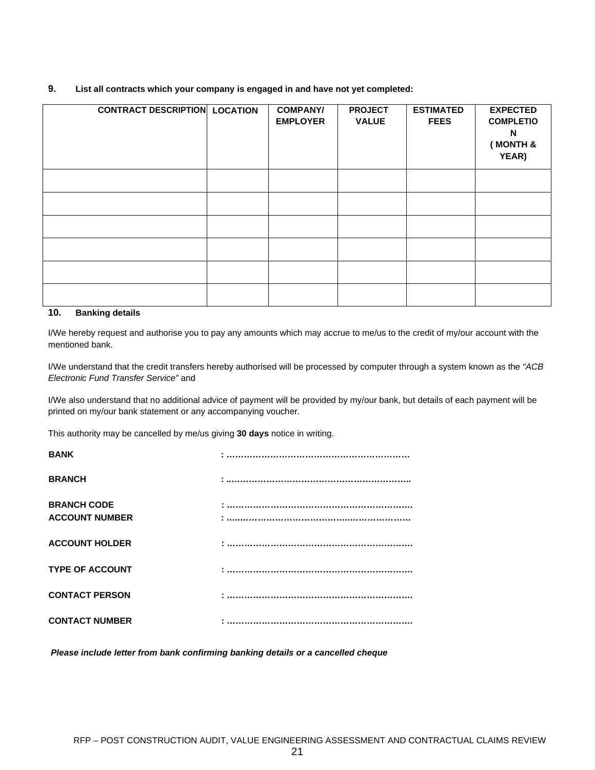### **9. List all contracts which your company is engaged in and have not yet completed:**

| <b>CONTRACT DESCRIPTION LOCATION</b> | <b>COMPANY/</b><br><b>EMPLOYER</b> | <b>PROJECT</b><br><b>VALUE</b> | <b>ESTIMATED</b><br><b>FEES</b> | <b>EXPECTED</b><br><b>COMPLETIO</b><br>N<br>(MONTH &<br>YEAR) |
|--------------------------------------|------------------------------------|--------------------------------|---------------------------------|---------------------------------------------------------------|
|                                      |                                    |                                |                                 |                                                               |
|                                      |                                    |                                |                                 |                                                               |
|                                      |                                    |                                |                                 |                                                               |
|                                      |                                    |                                |                                 |                                                               |
|                                      |                                    |                                |                                 |                                                               |
|                                      |                                    |                                |                                 |                                                               |

# **10. Banking details**

I/We hereby request and authorise you to pay any amounts which may accrue to me/us to the credit of my/our account with the mentioned bank.

I/We understand that the credit transfers hereby authorised will be processed by computer through a system known as the *"ACB Electronic Fund Transfer Service"* and

I/We also understand that no additional advice of payment will be provided by my/our bank, but details of each payment will be printed on my/our bank statement or any accompanying voucher.

This authority may be cancelled by me/us giving **30 days** notice in writing.

| <b>BANK</b>                                 |  |
|---------------------------------------------|--|
| <b>BRANCH</b>                               |  |
| <b>BRANCH CODE</b><br><b>ACCOUNT NUMBER</b> |  |
| <b>ACCOUNT HOLDER</b>                       |  |
| <b>TYPE OF ACCOUNT</b>                      |  |
| <b>CONTACT PERSON</b>                       |  |
| <b>CONTACT NUMBER</b>                       |  |

*Please include letter from bank confirming banking details or a cancelled cheque*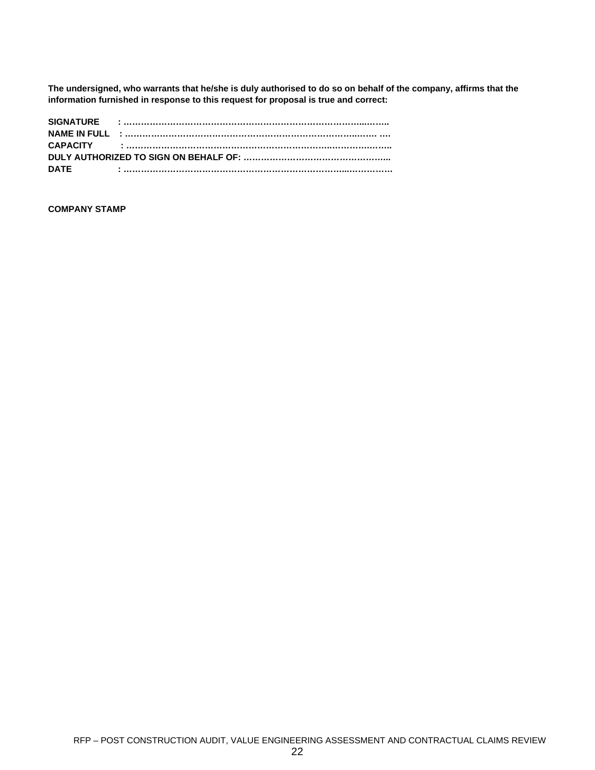**The undersigned, who warrants that he/she is duly authorised to do so on behalf of the company, affirms that the information furnished in response to this request for proposal is true and correct:**

| <b>DATE</b> |  |  |  |
|-------------|--|--|--|

# **COMPANY STAMP**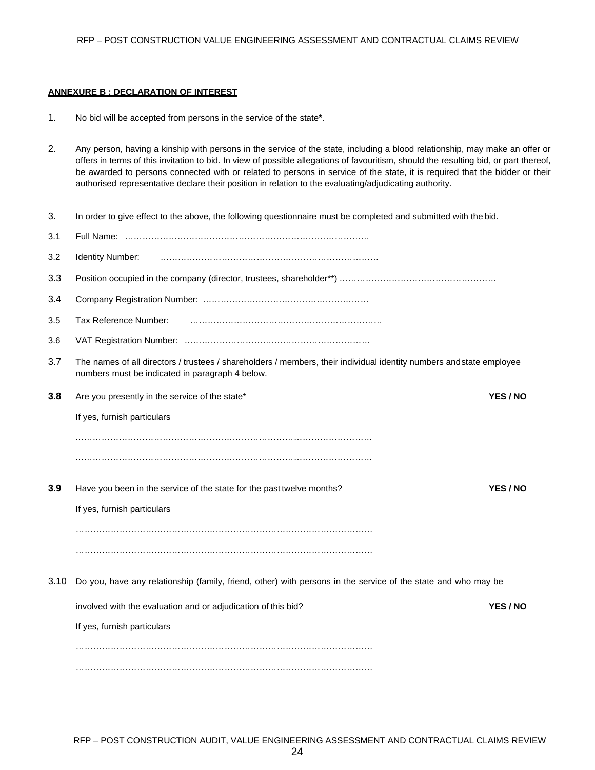### **ANNEXURE B : DECLARATION OF INTEREST**

- 1. No bid will be accepted from persons in the service of the state\*.
- 2. Any person, having a kinship with persons in the service of the state, including a blood relationship, may make an offer or offers in terms of this invitation to bid. In view of possible allegations of favouritism, should the resulting bid, or part thereof, be awarded to persons connected with or related to persons in service of the state, it is required that the bidder or their authorised representative declare their position in relation to the evaluating/adjudicating authority.
- 3. In order to give effect to the above, the following questionnaire must be completed and submitted with the bid.

| 3.1  |                                                                                                                                                                        |               |
|------|------------------------------------------------------------------------------------------------------------------------------------------------------------------------|---------------|
| 3.2  | Identity Number:                                                                                                                                                       |               |
| 3.3  |                                                                                                                                                                        |               |
| 3.4  |                                                                                                                                                                        |               |
| 3.5  | Tax Reference Number:                                                                                                                                                  |               |
| 3.6  |                                                                                                                                                                        |               |
| 3.7  | The names of all directors / trustees / shareholders / members, their individual identity numbers andstate employee<br>numbers must be indicated in paragraph 4 below. |               |
| 3.8  | Are you presently in the service of the state*                                                                                                                         | YES / NO      |
|      | If yes, furnish particulars                                                                                                                                            |               |
|      |                                                                                                                                                                        |               |
|      |                                                                                                                                                                        |               |
| 3.9  | Have you been in the service of the state for the past twelve months?                                                                                                  | <b>YES/NO</b> |
|      | If yes, furnish particulars                                                                                                                                            |               |
|      |                                                                                                                                                                        |               |
|      |                                                                                                                                                                        |               |
| 3.10 | Do you, have any relationship (family, friend, other) with persons in the service of the state and who may be                                                          |               |
|      | involved with the evaluation and or adjudication of this bid?                                                                                                          | YES / NO      |
|      | If yes, furnish particulars                                                                                                                                            |               |
|      |                                                                                                                                                                        |               |
|      |                                                                                                                                                                        |               |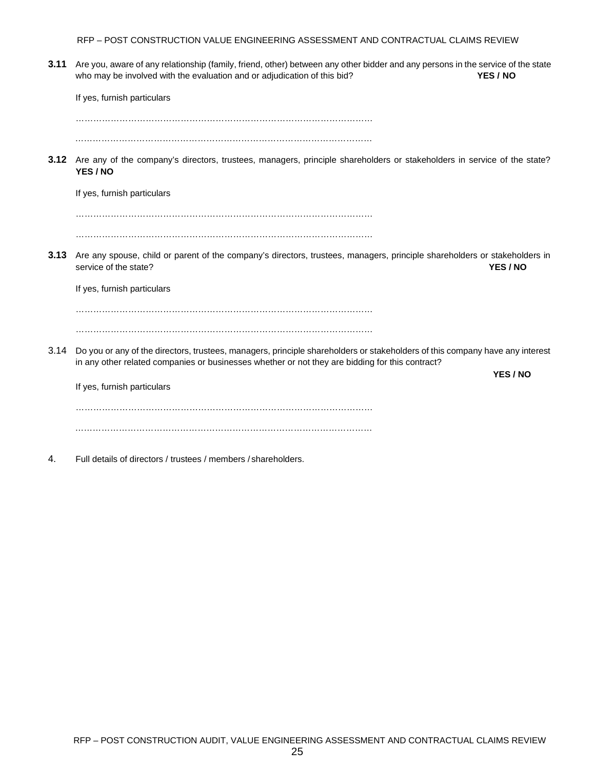RFP – POST CONSTRUCTION VALUE ENGINEERING ASSESSMENT AND CONTRACTUAL CLAIMS REVIEW

**3.11** Are you, aware of any relationship (family, friend, other) between any other bidder and any persons in the service of the state who may be involved with the evaluation and or adjudication of this bid? *YES / NO* 

If yes, furnish particulars …………………………………………………………………………………………

…………………………………………………………………………………………

**3.12** Are any of the company's directors, trustees, managers, principle shareholders or stakeholders in service of the state? **YES / NO**

If yes, furnish particulars

………………………………………………………………………………………… …………………………………………………………………………………………

**3.13** Are any spouse, child or parent of the company's directors, trustees, managers, principle shareholders or stakeholders in service of the state? **YES / NO**

If yes, furnish particulars

………………………………………………………………………………………… …………………………………………………………………………………………

3.14 Do you or any of the directors, trustees, managers, principle shareholders or stakeholders of this company have any interest in any other related companies or businesses whether or not they are bidding for this contract?

**YES / NO**

If yes, furnish particulars ………………………………………………………………………………………… …………………………………………………………………………………………

4. Full details of directors / trustees / members /shareholders.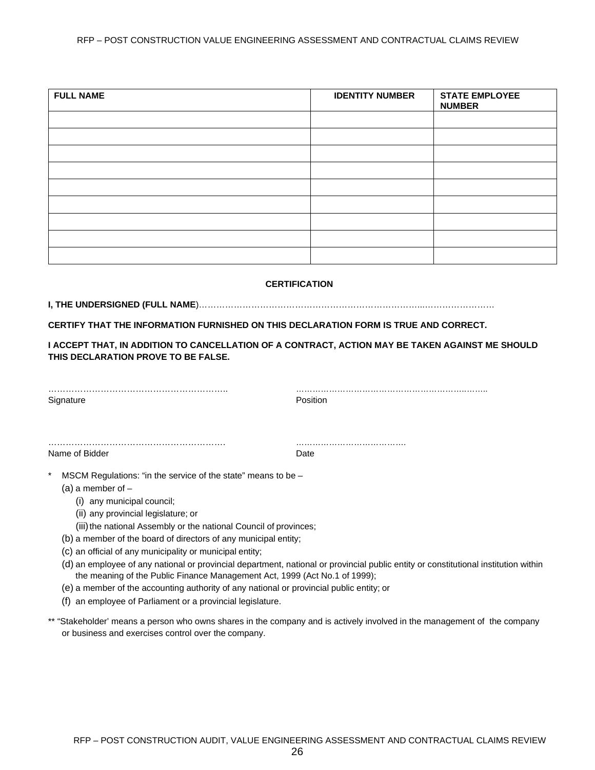### RFP – POST CONSTRUCTION VALUE ENGINEERING ASSESSMENT AND CONTRACTUAL CLAIMS REVIEW

| <b>FULL NAME</b> | <b>IDENTITY NUMBER</b> | <b>STATE EMPLOYEE</b><br><b>NUMBER</b> |
|------------------|------------------------|----------------------------------------|
|                  |                        |                                        |
|                  |                        |                                        |
|                  |                        |                                        |
|                  |                        |                                        |
|                  |                        |                                        |
|                  |                        |                                        |
|                  |                        |                                        |
|                  |                        |                                        |
|                  |                        |                                        |

### **CERTIFICATION**

**I, THE UNDERSIGNED (FULL NAME**)…………………………………………………………………...……………………

**CERTIFY THAT THE INFORMATION FURNISHED ON THIS DECLARATION FORM IS TRUE AND CORRECT.**

## **I ACCEPT THAT, IN ADDITION TO CANCELLATION OF A CONTRACT, ACTION MAY BE TAKEN AGAINST ME SHOULD THIS DECLARATION PROVE TO BE FALSE.**

| Signature                                                                                                                                                                                                                                                                                                | Position |  |
|----------------------------------------------------------------------------------------------------------------------------------------------------------------------------------------------------------------------------------------------------------------------------------------------------------|----------|--|
| Name of Bidder                                                                                                                                                                                                                                                                                           | Date     |  |
| *<br>MSCM Regulations: "in the service of the state" means to be -<br>$(a)$ a member of $-$<br>(i) any municipal council;<br>(ii) any provincial legislature; or<br>(iii) the national Assembly or the national Council of provinces;<br>(b) a member of the board of directors of any municipal entity; |          |  |

(c) an official of any municipality or municipal entity;

- (d) an employee of any national or provincial department, national or provincial public entity or constitutional institution within the meaning of the Public Finance Management Act, 1999 (Act No.1 of 1999);
- (e) a member of the accounting authority of any national or provincial public entity; or
- (f) an employee of Parliament or a provincial legislature.
- \*\* "Stakeholder' means a person who owns shares in the company and is actively involved in the management of the company or business and exercises control over the company.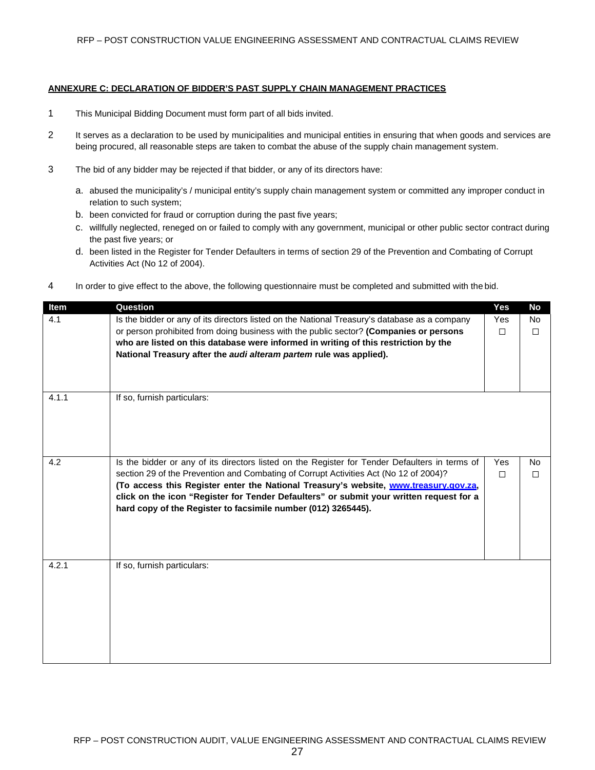### **ANNEXURE C: DECLARATION OF BIDDER'S PAST SUPPLY CHAIN MANAGEMENT PRACTICES**

- 1 This Municipal Bidding Document must form part of all bids invited.
- 2 It serves as a declaration to be used by municipalities and municipal entities in ensuring that when goods and services are being procured, all reasonable steps are taken to combat the abuse of the supply chain management system.
- 3 The bid of any bidder may be rejected if that bidder, or any of its directors have:
	- a. abused the municipality's / municipal entity's supply chain management system or committed any improper conduct in relation to such system;
	- b. been convicted for fraud or corruption during the past five years;
	- c. willfully neglected, reneged on or failed to comply with any government, municipal or other public sector contract during the past five years; or
	- d. been listed in the Register for Tender Defaulters in terms of section 29 of the Prevention and Combating of Corrupt Activities Act (No 12 of 2004).
- 4 In order to give effect to the above, the following questionnaire must be completed and submitted with the bid.

| Item  | Question                                                                                       | Yes    | No     |
|-------|------------------------------------------------------------------------------------------------|--------|--------|
| 4.1   | Is the bidder or any of its directors listed on the National Treasury's database as a company  | Yes    | No.    |
|       | or person prohibited from doing business with the public sector? (Companies or persons         | $\Box$ | $\Box$ |
|       | who are listed on this database were informed in writing of this restriction by the            |        |        |
|       | National Treasury after the audi alteram partem rule was applied).                             |        |        |
|       |                                                                                                |        |        |
|       |                                                                                                |        |        |
| 4.1.1 | If so, furnish particulars:                                                                    |        |        |
|       |                                                                                                |        |        |
|       |                                                                                                |        |        |
|       |                                                                                                |        |        |
|       |                                                                                                |        |        |
|       |                                                                                                |        |        |
| 4.2   | Is the bidder or any of its directors listed on the Register for Tender Defaulters in terms of | Yes    | No     |
|       | section 29 of the Prevention and Combating of Corrupt Activities Act (No 12 of 2004)?          | $\Box$ | $\Box$ |
|       | (To access this Register enter the National Treasury's website, www.treasury.gov.za,           |        |        |
|       | click on the icon "Register for Tender Defaulters" or submit your written request for a        |        |        |
|       | hard copy of the Register to facsimile number (012) 3265445).                                  |        |        |
|       |                                                                                                |        |        |
|       |                                                                                                |        |        |
|       |                                                                                                |        |        |
| 4.2.1 | If so, furnish particulars:                                                                    |        |        |
|       |                                                                                                |        |        |
|       |                                                                                                |        |        |
|       |                                                                                                |        |        |
|       |                                                                                                |        |        |
|       |                                                                                                |        |        |
|       |                                                                                                |        |        |
|       |                                                                                                |        |        |
|       |                                                                                                |        |        |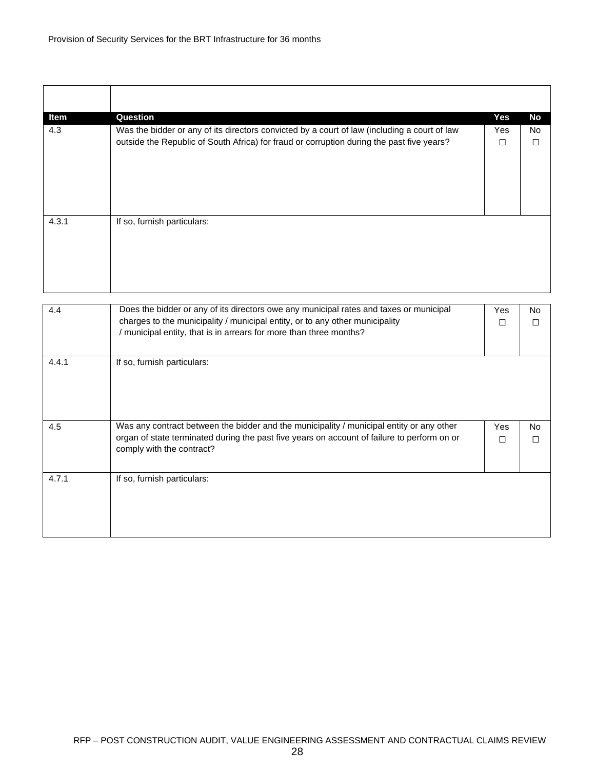| Item  | Question                                                                                     | Yes | No        |
|-------|----------------------------------------------------------------------------------------------|-----|-----------|
| 4.3   | Was the bidder or any of its directors convicted by a court of law (including a court of law | Yes | <b>No</b> |
|       | outside the Republic of South Africa) for fraud or corruption during the past five years?    | □   |           |
|       |                                                                                              |     |           |
|       |                                                                                              |     |           |
|       |                                                                                              |     |           |
|       |                                                                                              |     |           |
|       |                                                                                              |     |           |
| 4.3.1 | If so, furnish particulars:                                                                  |     |           |
|       |                                                                                              |     |           |
|       |                                                                                              |     |           |
|       |                                                                                              |     |           |
|       |                                                                                              |     |           |
|       |                                                                                              |     |           |
|       |                                                                                              |     |           |

| 4.4   | Does the bidder or any of its directors owe any municipal rates and taxes or municipal<br>charges to the municipality / municipal entity, or to any other municipality<br>/ municipal entity, that is in arrears for more than three months? | Yes<br>П | No.<br>П |
|-------|----------------------------------------------------------------------------------------------------------------------------------------------------------------------------------------------------------------------------------------------|----------|----------|
| 4.4.1 | If so, furnish particulars:                                                                                                                                                                                                                  |          |          |
| 4.5   | Was any contract between the bidder and the municipality / municipal entity or any other                                                                                                                                                     | Yes      | No.      |
|       | organ of state terminated during the past five years on account of failure to perform on or<br>comply with the contract?                                                                                                                     | П        |          |
| 4.7.1 | If so, furnish particulars:                                                                                                                                                                                                                  |          |          |
|       |                                                                                                                                                                                                                                              |          |          |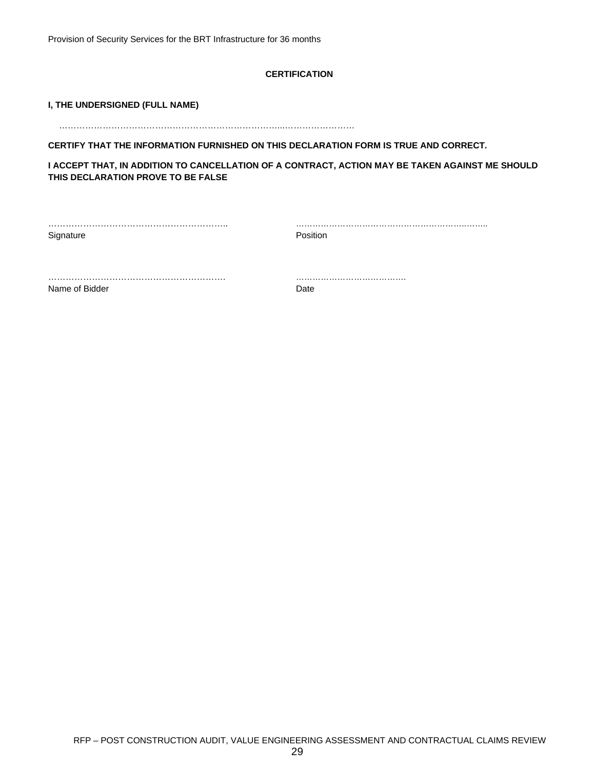Provision of Security Services for the BRT Infrastructure for 36 months

### **CERTIFICATION**

### **I, THE UNDERSIGNED (FULL NAME)**

…………………………………………………………………...……………………

**CERTIFY THAT THE INFORMATION FURNISHED ON THIS DECLARATION FORM IS TRUE AND CORRECT.**

**I ACCEPT THAT, IN ADDITION TO CANCELLATION OF A CONTRACT, ACTION MAY BE TAKEN AGAINST ME SHOULD THIS DECLARATION PROVE TO BE FALSE**

Signature **Position** 

…………………………………………………….. ……………………………………………………..……..

……………………………………………………. ………………………………….

Name of Bidder **Date**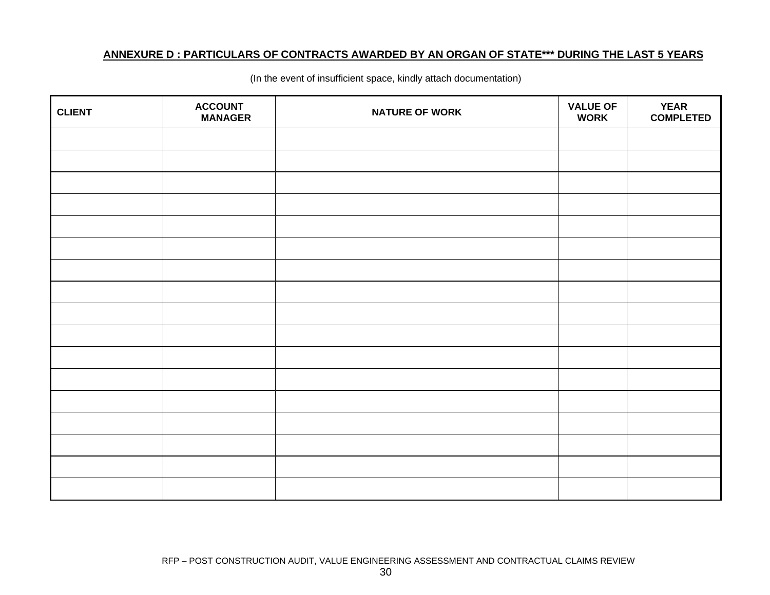# **ANNEXURE D : PARTICULARS OF CONTRACTS AWARDED BY AN ORGAN OF STATE\*\*\* DURING THE LAST 5 YEARS**

| <b>CLIENT</b> | <b>ACCOUNT</b><br><b>MANAGER</b> | <b>NATURE OF WORK</b> | <b>VALUE OF</b><br><b>WORK</b> | <b>YEAR</b><br><b>COMPLETED</b> |
|---------------|----------------------------------|-----------------------|--------------------------------|---------------------------------|
|               |                                  |                       |                                |                                 |
|               |                                  |                       |                                |                                 |
|               |                                  |                       |                                |                                 |
|               |                                  |                       |                                |                                 |
|               |                                  |                       |                                |                                 |
|               |                                  |                       |                                |                                 |
|               |                                  |                       |                                |                                 |
|               |                                  |                       |                                |                                 |
|               |                                  |                       |                                |                                 |
|               |                                  |                       |                                |                                 |
|               |                                  |                       |                                |                                 |
|               |                                  |                       |                                |                                 |
|               |                                  |                       |                                |                                 |
|               |                                  |                       |                                |                                 |
|               |                                  |                       |                                |                                 |
|               |                                  |                       |                                |                                 |
|               |                                  |                       |                                |                                 |

(In the event of insufficient space, kindly attach documentation)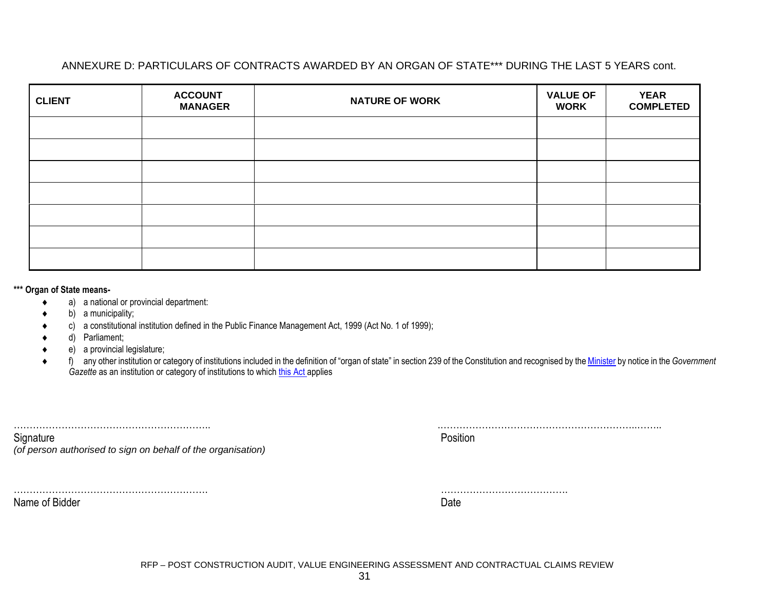# ANNEXURE D: PARTICULARS OF CONTRACTS AWARDED BY AN ORGAN OF STATE\*\*\* DURING THE LAST 5 YEARS cont.

| <b>CLIENT</b> | <b>ACCOUNT</b><br><b>MANAGER</b> | <b>NATURE OF WORK</b> | <b>VALUE OF</b><br><b>WORK</b> | <b>YEAR</b><br><b>COMPLETED</b> |
|---------------|----------------------------------|-----------------------|--------------------------------|---------------------------------|
|               |                                  |                       |                                |                                 |
|               |                                  |                       |                                |                                 |
|               |                                  |                       |                                |                                 |
|               |                                  |                       |                                |                                 |
|               |                                  |                       |                                |                                 |
|               |                                  |                       |                                |                                 |
|               |                                  |                       |                                |                                 |

**\*\*\* Organ of State means-**

- a) a national or provincial department:
- b) a municipality;
- c) a constitutional institution defined in the Public Finance Management Act, 1999 (Act No. 1 of 1999);
- d) Parliament;
- e) a provincial legislature;
- f) any other institution or category of institutions included in the definition of "organ of state" in section 239 of the Constitution and recognised by the Minister by notice in the *Government Gazette* as an institution or category of institutions to which this Act applies

| Signature                                                    | Position |
|--------------------------------------------------------------|----------|
| (of person authorised to sign on behalf of the organisation) |          |
|                                                              |          |

Name of Bidder **Date** 

……………………………………………………. ………………………………….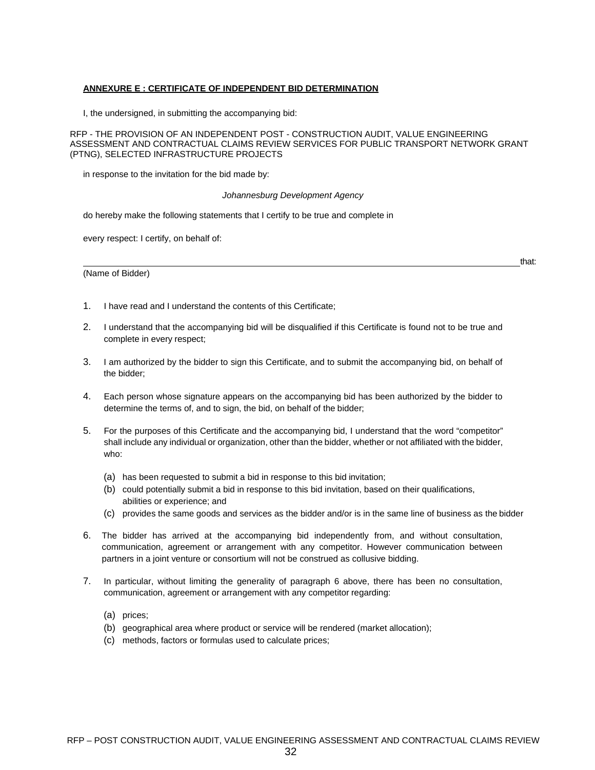### **ANNEXURE E : CERTIFICATE OF INDEPENDENT BID DETERMINATION**

I, the undersigned, in submitting the accompanying bid:

RFP - THE PROVISION OF AN INDEPENDENT POST - CONSTRUCTION AUDIT, VALUE ENGINEERING ASSESSMENT AND CONTRACTUAL CLAIMS REVIEW SERVICES FOR PUBLIC TRANSPORT NETWORK GRANT (PTNG), SELECTED INFRASTRUCTURE PROJECTS

in response to the invitation for the bid made by:

#### *Johannesburg Development Agency*

do hereby make the following statements that I certify to be true and complete in

every respect: I certify, on behalf of:

(Name of Bidder)

that:

- 1. I have read and I understand the contents of this Certificate;
- 2. I understand that the accompanying bid will be disqualified if this Certificate is found not to be true and complete in every respect;
- 3. I am authorized by the bidder to sign this Certificate, and to submit the accompanying bid, on behalf of the bidder;
- 4. Each person whose signature appears on the accompanying bid has been authorized by the bidder to determine the terms of, and to sign, the bid, on behalf of the bidder;
- 5. For the purposes of this Certificate and the accompanying bid, I understand that the word "competitor" shall include any individual or organization, other than the bidder, whether or not affiliated with the bidder, who:
	- (a) has been requested to submit a bid in response to this bid invitation;
	- (b) could potentially submit a bid in response to this bid invitation, based on their qualifications, abilities or experience; and
	- (c) provides the same goods and services as the bidder and/or is in the same line of business as the bidder
- 6. The bidder has arrived at the accompanying bid independently from, and without consultation, communication, agreement or arrangement with any competitor. However communication between partners in a joint venture or consortium will not be construed as collusive bidding.
- 7. In particular, without limiting the generality of paragraph 6 above, there has been no consultation, communication, agreement or arrangement with any competitor regarding:
	- (a) prices;
	- (b) geographical area where product or service will be rendered (market allocation);
	- (c) methods, factors or formulas used to calculate prices;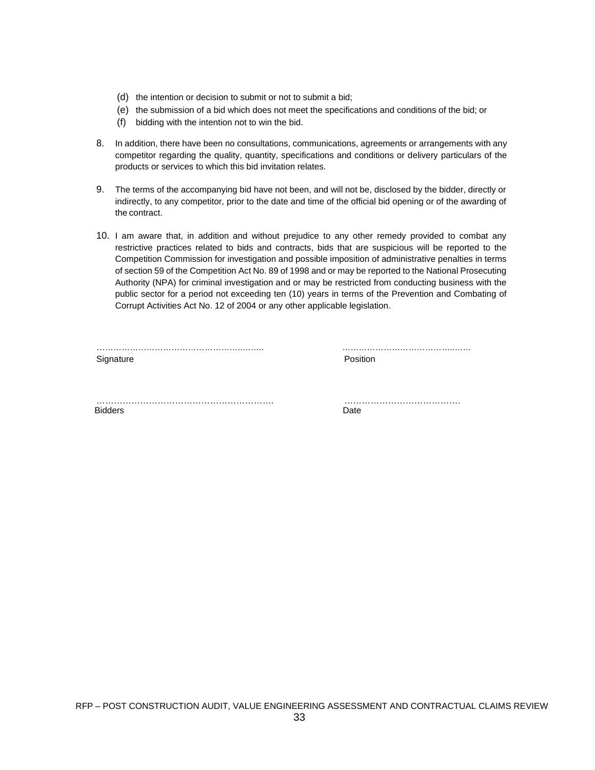- (d) the intention or decision to submit or not to submit a bid;
- (e) the submission of a bid which does not meet the specifications and conditions of the bid; or
- (f) bidding with the intention not to win the bid.
- 8. In addition, there have been no consultations, communications, agreements or arrangements with any competitor regarding the quality, quantity, specifications and conditions or delivery particulars of the products or services to which this bid invitation relates.
- 9. The terms of the accompanying bid have not been, and will not be, disclosed by the bidder, directly or indirectly, to any competitor, prior to the date and time of the official bid opening or of the awarding of the contract.
- 10. I am aware that, in addition and without prejudice to any other remedy provided to combat any restrictive practices related to bids and contracts, bids that are suspicious will be reported to the Competition Commission for investigation and possible imposition of administrative penalties in terms of section 59 of the Competition Act No. 89 of 1998 and or may be reported to the National Prosecuting Authority (NPA) for criminal investigation and or may be restricted from conducting business with the public sector for a period not exceeding ten (10) years in terms of the Prevention and Combating of Corrupt Activities Act No. 12 of 2004 or any other applicable legislation.

| Signature | Position |
|-----------|----------|

……………………………………………..…….. …………………………………..……

……………………………………………………. …………………………………. Bidders **Date**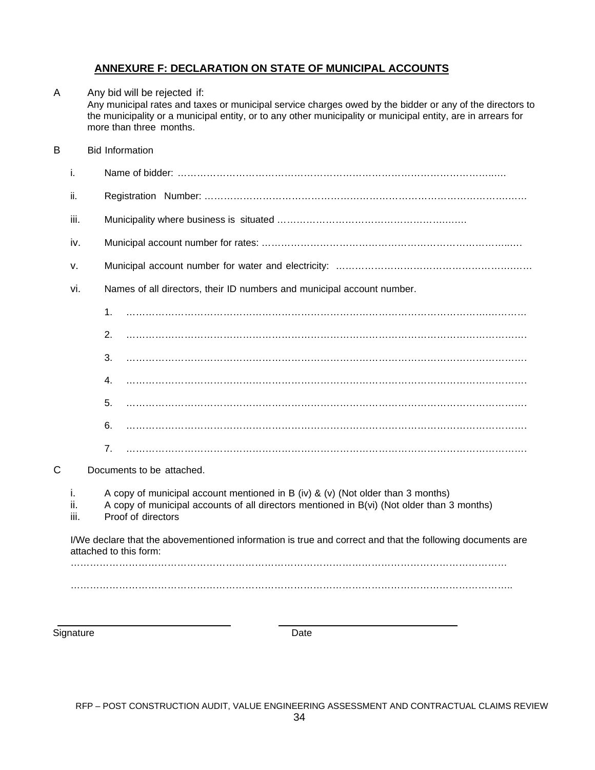# **ANNEXURE F: DECLARATION ON STATE OF MUNICIPAL ACCOUNTS**

# A Any bid will be rejected if: Any municipal rates and taxes or municipal service charges owed by the bidder or any of the directors to the municipality or a municipal entity, or to any other municipality or municipal entity, are in arrears for more than three months. B Bid Information i. Name of bidder: ……………………………………………………………………………………..…. ii. Registration Number: ………………………………………………………………………………….…… iii. Municipality where business is situated …………………………………………………………………………………………… iv. Municipal account number for rates: …………………………………………………………………..…. v. Municipal account number for water and electricity: ……………………………………………….…… vi. Names of all directors, their ID numbers and municipal account number.  $1\,$ 2. ……………………………………………………………………………………………………………. 3. ……………………………………………………………………………………………………………. 4. ……………………………………………………………………………………………………………. 5. ……………………………………………………………………………………………………………. 6. ……………………………………………………………………………………………………………. 7. ……………………………………………………………………………………………………………. C Documents to be attached. i. A copy of municipal account mentioned in B (iv) & (v) (Not older than 3 months) ii. A copy of municipal accounts of all directors mentioned in B(vi) (Not older than 3 months) iii. Proof of directors I/We declare that the abovementioned information is true and correct and that the following documents are attached to this form: ……………………………………………………………………………………………………………………… ………………………………………………………………………………………………………………………..

Signature Date **Date**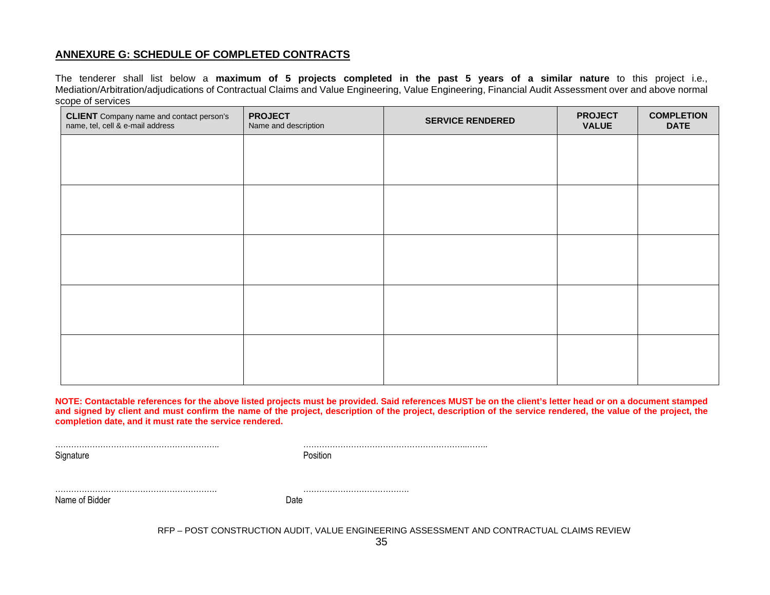# **ANNEXURE G: SCHEDULE OF COMPLETED CONTRACTS**

The tenderer shall list below a **maximum of 5 projects completed in the past 5 years of a similar nature** to this project i.e., Mediation/Arbitration/adjudications of Contractual Claims and Value Engineering, Value Engineering, Financial Audit Assessment over and above normal scope of services

| <b>CLIENT</b> Company name and contact person's<br>name, tel, cell & e-mail address | <b>PROJECT</b><br>Name and description | <b>SERVICE RENDERED</b> | <b>PROJECT</b><br><b>VALUE</b> | <b>COMPLETION</b><br><b>DATE</b> |
|-------------------------------------------------------------------------------------|----------------------------------------|-------------------------|--------------------------------|----------------------------------|
|                                                                                     |                                        |                         |                                |                                  |
|                                                                                     |                                        |                         |                                |                                  |
|                                                                                     |                                        |                         |                                |                                  |
|                                                                                     |                                        |                         |                                |                                  |
|                                                                                     |                                        |                         |                                |                                  |
|                                                                                     |                                        |                         |                                |                                  |
|                                                                                     |                                        |                         |                                |                                  |
|                                                                                     |                                        |                         |                                |                                  |
|                                                                                     |                                        |                         |                                |                                  |
|                                                                                     |                                        |                         |                                |                                  |

**NOTE: Contactable references for the above listed projects must be provided. Said references MUST be on the client's letter head or on a document stamped and signed by client and must confirm the name of the project, description of the project, description of the service rendered, the value of the project, the completion date, and it must rate the service rendered.**

Signature **Position** 

…………………………………………………….. ……………………………………………………..……..

……………………………………………………. …………………………………. Name of Bidder **Date**